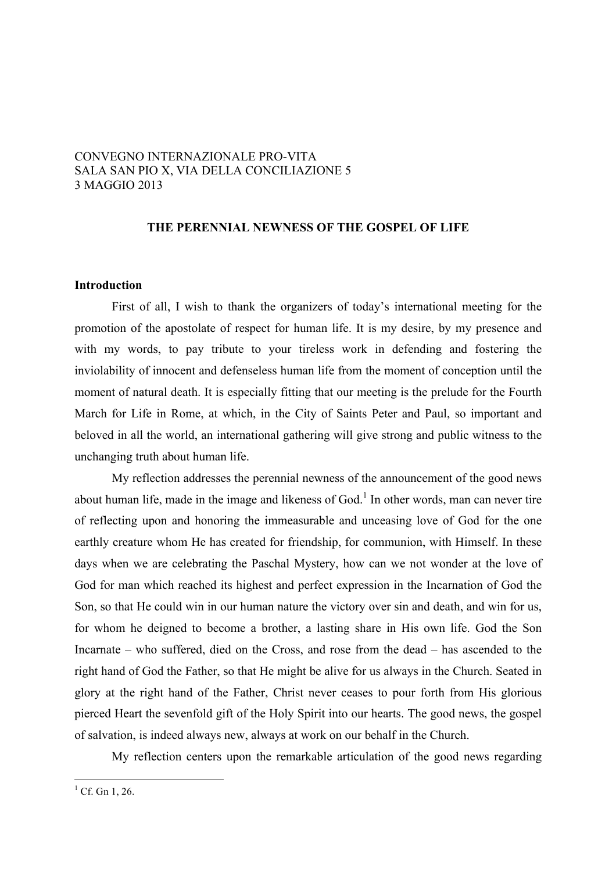# CONVEGNO INTERNAZIONALE PRO-VITA SALA SAN PIO X, VIA DELLA CONCILIAZIONE 5 3 MAGGIO 2013

### **THE PERENNIAL NEWNESS OF THE GOSPEL OF LIFE**

## **Introduction**

First of all, I wish to thank the organizers of today's international meeting for the promotion of the apostolate of respect for human life. It is my desire, by my presence and with my words, to pay tribute to your tireless work in defending and fostering the inviolability of innocent and defenseless human life from the moment of conception until the moment of natural death. It is especially fitting that our meeting is the prelude for the Fourth March for Life in Rome, at which, in the City of Saints Peter and Paul, so important and beloved in all the world, an international gathering will give strong and public witness to the unchanging truth about human life.

My reflection addresses the perennial newness of the announcement of the good news about human life, made in the image and likeness of God.<sup>1</sup> In other words, man can never tire of reflecting upon and honoring the immeasurable and unceasing love of God for the one earthly creature whom He has created for friendship, for communion, with Himself. In these days when we are celebrating the Paschal Mystery, how can we not wonder at the love of God for man which reached its highest and perfect expression in the Incarnation of God the Son, so that He could win in our human nature the victory over sin and death, and win for us, for whom he deigned to become a brother, a lasting share in His own life. God the Son Incarnate – who suffered, died on the Cross, and rose from the dead – has ascended to the right hand of God the Father, so that He might be alive for us always in the Church. Seated in glory at the right hand of the Father, Christ never ceases to pour forth from His glorious pierced Heart the sevenfold gift of the Holy Spirit into our hearts. The good news, the gospel of salvation, is indeed always new, always at work on our behalf in the Church.

My reflection centers upon the remarkable articulation of the good news regarding

 $^{1}$  Cf. Gn 1, 26.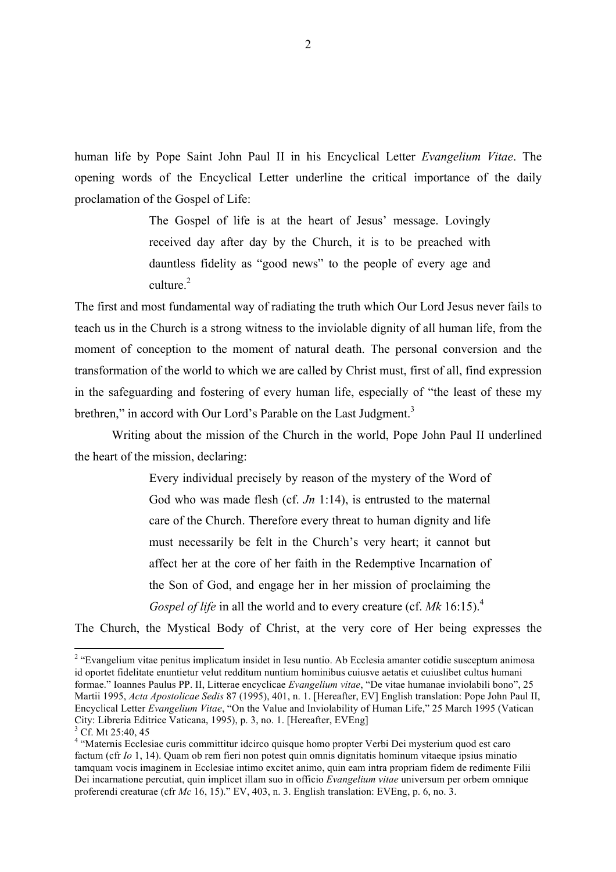human life by Pope Saint John Paul II in his Encyclical Letter *Evangelium Vitae*. The opening words of the Encyclical Letter underline the critical importance of the daily proclamation of the Gospel of Life:

> The Gospel of life is at the heart of Jesus' message. Lovingly received day after day by the Church, it is to be preached with dauntless fidelity as "good news" to the people of every age and culture $^2$

The first and most fundamental way of radiating the truth which Our Lord Jesus never fails to teach us in the Church is a strong witness to the inviolable dignity of all human life, from the moment of conception to the moment of natural death. The personal conversion and the transformation of the world to which we are called by Christ must, first of all, find expression in the safeguarding and fostering of every human life, especially of "the least of these my brethren," in accord with Our Lord's Parable on the Last Judgment.<sup>3</sup>

Writing about the mission of the Church in the world, Pope John Paul II underlined the heart of the mission, declaring:

> Every individual precisely by reason of the mystery of the Word of God who was made flesh (cf. *Jn* 1:14), is entrusted to the maternal care of the Church. Therefore every threat to human dignity and life must necessarily be felt in the Church's very heart; it cannot but affect her at the core of her faith in the Redemptive Incarnation of the Son of God, and engage her in her mission of proclaiming the *Gospel of life* in all the world and to every creature (cf. *Mk* 16:15).<sup>4</sup>

The Church, the Mystical Body of Christ, at the very core of Her being expresses the

<sup>&</sup>lt;sup>2</sup> "Evangelium vitae penitus implicatum insidet in Iesu nuntio. Ab Ecclesia amanter cotidie susceptum animosa id oportet fidelitate enuntietur velut redditum nuntium hominibus cuiusve aetatis et cuiuslibet cultus humani formae." Ioannes Paulus PP. II, Litterae encyclicae *Evangelium vitae*, "De vitae humanae inviolabili bono", 25 Martii 1995, *Acta Apostolicae Sedis* 87 (1995), 401, n. 1. [Hereafter, EV] English translation: Pope John Paul II, Encyclical Letter *Evangelium Vitae*, "On the Value and Inviolability of Human Life," 25 March 1995 (Vatican City: Libreria Editrice Vaticana, 1995), p. 3, no. 1. [Hereafter, EVEng]

 $3$  Cf. Mt 25:40, 45

<sup>4</sup> "Maternis Ecclesiae curis committitur idcirco quisque homo propter Verbi Dei mysterium quod est caro factum (cfr *Io* 1, 14). Quam ob rem fieri non potest quin omnis dignitatis hominum vitaeque ipsius minatio tamquam vocis imaginem in Ecclesiae intimo excitet animo, quin eam intra propriam fidem de redimente Filii Dei incarnatione percutiat, quin implicet illam suo in officio *Evangelium vitae* universum per orbem omnique proferendi creaturae (cfr *Mc* 16, 15)." EV, 403, n. 3. English translation: EVEng, p. 6, no. 3.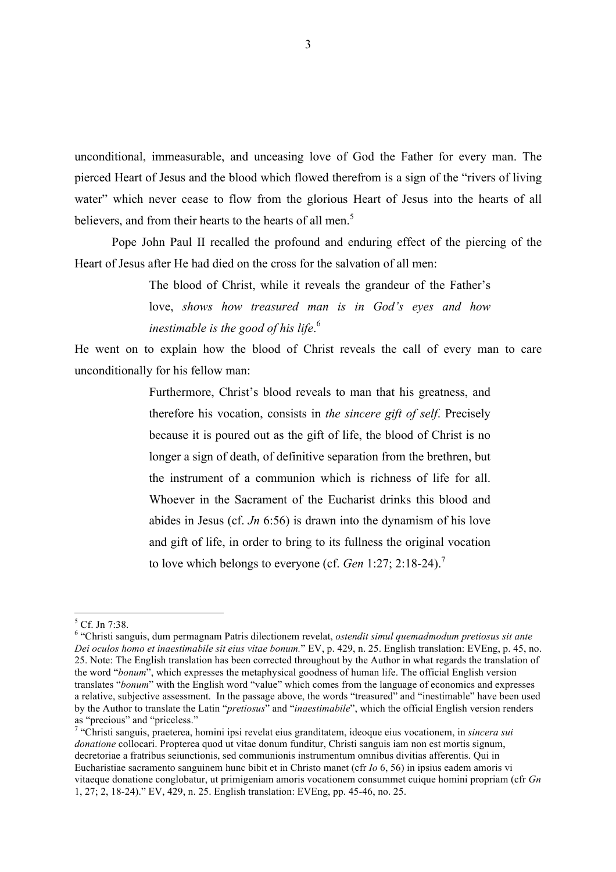unconditional, immeasurable, and unceasing love of God the Father for every man. The pierced Heart of Jesus and the blood which flowed therefrom is a sign of the "rivers of living water" which never cease to flow from the glorious Heart of Jesus into the hearts of all believers, and from their hearts to the hearts of all men.<sup>5</sup>

Pope John Paul II recalled the profound and enduring effect of the piercing of the Heart of Jesus after He had died on the cross for the salvation of all men:

> The blood of Christ, while it reveals the grandeur of the Father's love, *shows how treasured man is in God's eyes and how inestimable is the good of his life*. 6

He went on to explain how the blood of Christ reveals the call of every man to care unconditionally for his fellow man:

> Furthermore, Christ's blood reveals to man that his greatness, and therefore his vocation, consists in *the sincere gift of self*. Precisely because it is poured out as the gift of life, the blood of Christ is no longer a sign of death, of definitive separation from the brethren, but the instrument of a communion which is richness of life for all. Whoever in the Sacrament of the Eucharist drinks this blood and abides in Jesus (cf. *Jn* 6:56) is drawn into the dynamism of his love and gift of life, in order to bring to its fullness the original vocation to love which belongs to everyone (cf. *Gen* 1:27; 2:18-24).7

 <sup>5</sup> Cf. Jn 7:38.

<sup>6</sup> "Christi sanguis, dum permagnam Patris dilectionem revelat, *ostendit simul quemadmodum pretiosus sit ante Dei oculos homo et inaestimabile sit eius vitae bonum.*" EV, p. 429, n. 25. English translation: EVEng, p. 45, no. 25. Note: The English translation has been corrected throughout by the Author in what regards the translation of the word "*bonum*", which expresses the metaphysical goodness of human life. The official English version translates "*bonum*" with the English word "value" which comes from the language of economics and expresses a relative, subjective assessment. In the passage above, the words "treasured" and "inestimable" have been used by the Author to translate the Latin "*pretiosus*" and "*inaestimabile*", which the official English version renders as "precious" and "priceless."

<sup>7</sup> "Christi sanguis, praeterea, homini ipsi revelat eius granditatem, ideoque eius vocationem, in *sincera sui donatione* collocari. Propterea quod ut vitae donum funditur. Christi sanguis iam non est mortis signum, decretoriae a fratribus seiunctionis, sed communionis instrumentum omnibus divitias afferentis. Qui in Eucharistiae sacramento sanguinem hunc bibit et in Christo manet (cfr *Io* 6, 56) in ipsius eadem amoris vi vitaeque donatione conglobatur, ut primigeniam amoris vocationem consummet cuique homini propriam (cfr *Gn* 1, 27; 2, 18-24)." EV, 429, n. 25. English translation: EVEng, pp. 45-46, no. 25.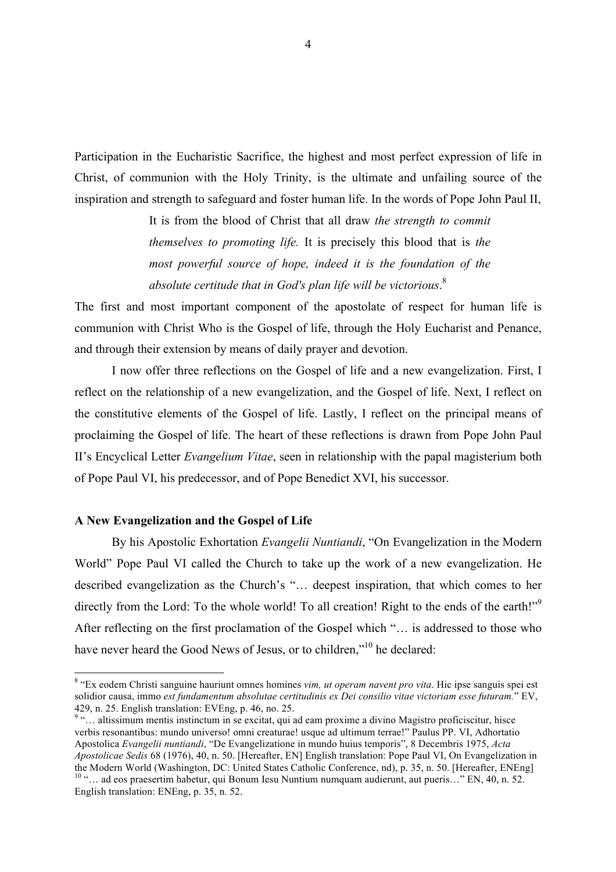Participation in the Eucharistic Sacrifice, the highest and most perfect expression of life in Christ, of communion with the Holy Trinity, is the ultimate and unfailing source of the inspiration and strength to safeguard and foster human life. In the words of Pope John Paul II,

> It is from the blood of Christ that all draw *the strength to commit themselves to promoting life.* It is precisely this blood that is *the most powerful source of hope, indeed it is the foundation of the absolute certitude that in God's plan life will be victorious*. 8

The first and most important component of the apostolate of respect for human life is communion with Christ Who is the Gospel of life, through the Holy Eucharist and Penance, and through their extension by means of daily prayer and devotion.

I now offer three reflections on the Gospel of life and a new evangelization. First, I reflect on the relationship of a new evangelization, and the Gospel of life. Next, I reflect on the constitutive elements of the Gospel of life. Lastly, I reflect on the principal means of proclaiming the Gospel of life. The heart of these reflections is drawn from Pope John Paul II's Encyclical Letter *Evangelium Vitae*, seen in relationship with the papal magisterium both of Pope Paul VI, his predecessor, and of Pope Benedict XVI, his successor.

### **A New Evangelization and the Gospel of Life**

By his Apostolic Exhortation *Evangelii Nuntiandi*, "On Evangelization in the Modern World" Pope Paul VI called the Church to take up the work of a new evangelization. He described evangelization as the Church's "… deepest inspiration, that which comes to her directly from the Lord: To the whole world! To all creation! Right to the ends of the earth!"<sup>9</sup> After reflecting on the first proclamation of the Gospel which "… is addressed to those who have never heard the Good News of Jesus, or to children."<sup>10</sup> he declared:

<sup>9</sup> "... altissimum mentis instinctum in se excitat, qui ad eam proxime a divino Magistro proficiscitur, hisce verbis resonantibus: mundo universo! omni creaturae! usque ad ultimum terrae!" Paulus PP. VI, Adhortatio Apostolica *Evangelii nuntiandi*, "De Evangelizatione in mundo huius temporis", 8 Decembris 1975, *Acta Apostolicae Sedis* 68 (1976), 40, n. 50. [Hereafter, EN] English translation: Pope Paul VI, On Evangelization in the Modern World (Washington, DC: United States Catholic Conference, nd), p. 35, n. 50. [Hereafter, ENEng]  $\frac{10}{10}$ "… ad eos praesertim habetur, qui Bonum Iesu Nuntium numquam audierunt, aut pueris…" EN, 40, n. 52. English translation: ENEng, p. 35, n. 52.

<sup>&</sup>lt;sup>8</sup> "Ex eodem Christi sanguine hauriunt omnes homines *vim, ut operam navent pro vita*. Hic ipse sanguis spei est solidior causa, immo *est fundamentum absolutae certitudinis ex Dei consilio vitae victoriam esse futuram.*" EV, 429, n. 25. English translation: EVEng, p. 46, no. 25.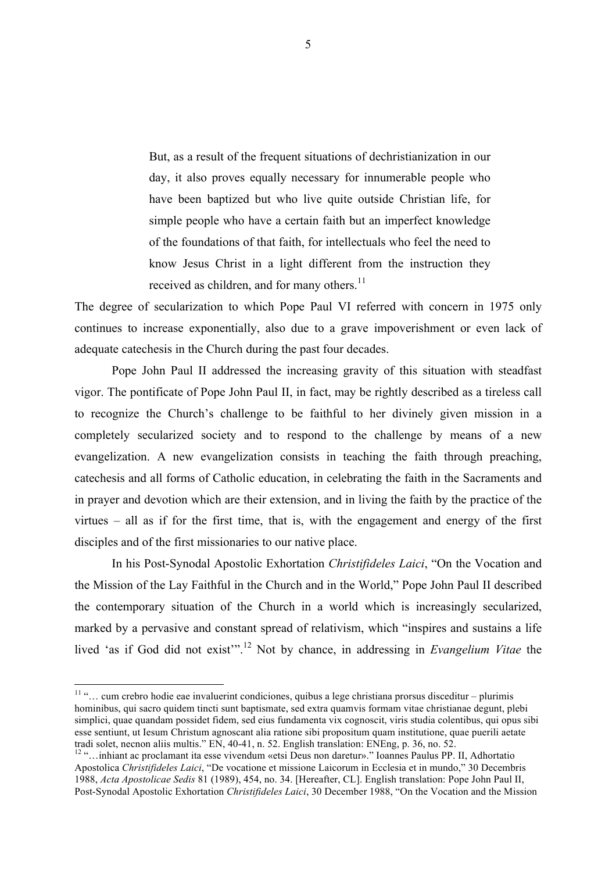But, as a result of the frequent situations of dechristianization in our day, it also proves equally necessary for innumerable people who have been baptized but who live quite outside Christian life, for simple people who have a certain faith but an imperfect knowledge of the foundations of that faith, for intellectuals who feel the need to know Jesus Christ in a light different from the instruction they received as children, and for many others. $^{11}$ 

The degree of secularization to which Pope Paul VI referred with concern in 1975 only continues to increase exponentially, also due to a grave impoverishment or even lack of adequate catechesis in the Church during the past four decades.

Pope John Paul II addressed the increasing gravity of this situation with steadfast vigor. The pontificate of Pope John Paul II, in fact, may be rightly described as a tireless call to recognize the Church's challenge to be faithful to her divinely given mission in a completely secularized society and to respond to the challenge by means of a new evangelization. A new evangelization consists in teaching the faith through preaching, catechesis and all forms of Catholic education, in celebrating the faith in the Sacraments and in prayer and devotion which are their extension, and in living the faith by the practice of the virtues – all as if for the first time, that is, with the engagement and energy of the first disciples and of the first missionaries to our native place.

In his Post-Synodal Apostolic Exhortation *Christifideles Laici*, "On the Vocation and the Mission of the Lay Faithful in the Church and in the World," Pope John Paul II described the contemporary situation of the Church in a world which is increasingly secularized, marked by a pervasive and constant spread of relativism, which "inspires and sustains a life lived 'as if God did not exist'".<sup>12</sup> Not by chance, in addressing in *Evangelium Vitae* the

 <sup>11</sup> "… cum crebro hodie eae invaluerint condiciones, quibus a lege christiana prorsus disceditur – plurimis hominibus, qui sacro quidem tincti sunt baptismate, sed extra quamvis formam vitae christianae degunt, plebi simplici, quae quandam possidet fidem, sed eius fundamenta vix cognoscit, viris studia colentibus, qui opus sibi esse sentiunt, ut Iesum Christum agnoscant alia ratione sibi propositum quam institutione, quae puerili aetate tradi solet, necnon aliis multis." EN, 40-41, n. 52. English translation: ENEng, p. 36, no. 52.<br><sup>12</sup> "…inhiant ac proclamant ita esse vivendum «etsi Deus non daretur»." Ioannes Paulus PP. II, Adhortatio

Apostolica *Christifideles Laici*, "De vocatione et missione Laicorum in Ecclesia et in mundo," 30 Decembris 1988, *Acta Apostolicae Sedis* 81 (1989), 454, no. 34. [Hereafter, CL]. English translation: Pope John Paul II, Post-Synodal Apostolic Exhortation *Christifideles Laici*, 30 December 1988, "On the Vocation and the Mission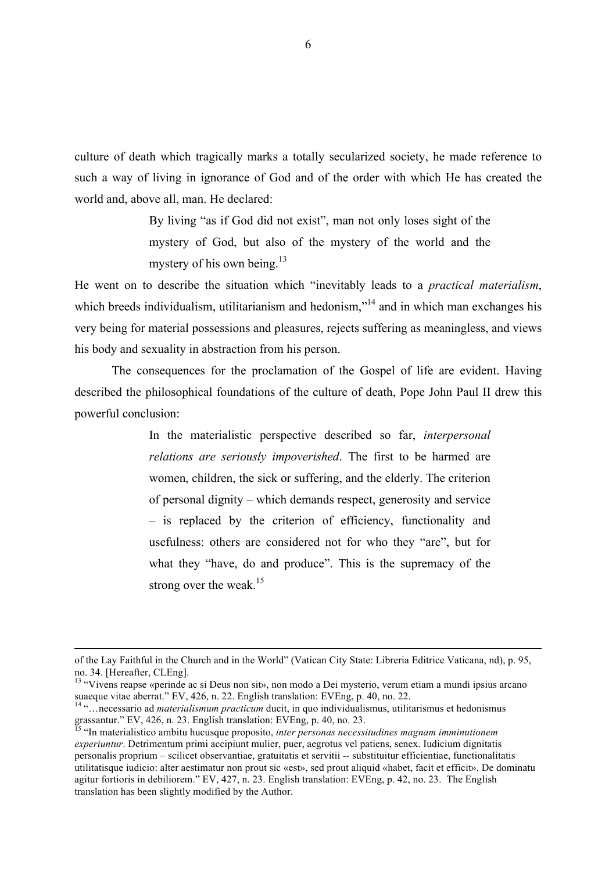culture of death which tragically marks a totally secularized society, he made reference to such a way of living in ignorance of God and of the order with which He has created the world and, above all, man. He declared:

> By living "as if God did not exist", man not only loses sight of the mystery of God, but also of the mystery of the world and the mystery of his own being.<sup>13</sup>

He went on to describe the situation which "inevitably leads to a *practical materialism*, which breeds individualism, utilitarianism and hedonism,"<sup>14</sup> and in which man exchanges his very being for material possessions and pleasures, rejects suffering as meaningless, and views his body and sexuality in abstraction from his person.

The consequences for the proclamation of the Gospel of life are evident. Having described the philosophical foundations of the culture of death, Pope John Paul II drew this powerful conclusion:

> In the materialistic perspective described so far, *interpersonal relations are seriously impoverished*. The first to be harmed are women, children, the sick or suffering, and the elderly. The criterion of personal dignity – which demands respect, generosity and service – is replaced by the criterion of efficiency, functionality and usefulness: others are considered not for who they "are", but for what they "have, do and produce". This is the supremacy of the strong over the weak. $15$

of the Lay Faithful in the Church and in the World" (Vatican City State: Libreria Editrice Vaticana, nd), p. 95, no. 34. [Hereafter, CLEng].

<sup>&</sup>lt;sup>13</sup> "Vivens reapse «perinde ac si Deus non sit», non modo a Dei mysterio, verum etiam a mundi ipsius arcano suaeque vitae aberrat." EV, 426, n. 22. English translation: EVEng, p. 40, no. 22.

<sup>14</sup> "…necessario ad *materialismum practicum* ducit, in quo individualismus, utilitarismus et hedonismus grassantur." EV, 426, n. 23. English translation: EVEng, p. 40, no. 23.<br><sup>15</sup> "In materialistico ambitu hucusque proposito, *inter personas necessitudines magnam imminutionem* 

*experiuntur*. Detrimentum primi accipiunt mulier, puer, aegrotus vel patiens, senex. Iudicium dignitatis personalis proprium – scilicet observantiae, gratuitatis et servitii -- substituitur efficientiae, functionalitatis utilitatisque iudicio: alter aestimatur non prout sic «est», sed prout aliquid «habet, facit et efficit». De dominatu agitur fortioris in debiliorem." EV, 427, n. 23. English translation: EVEng, p. 42, no. 23. The English translation has been slightly modified by the Author.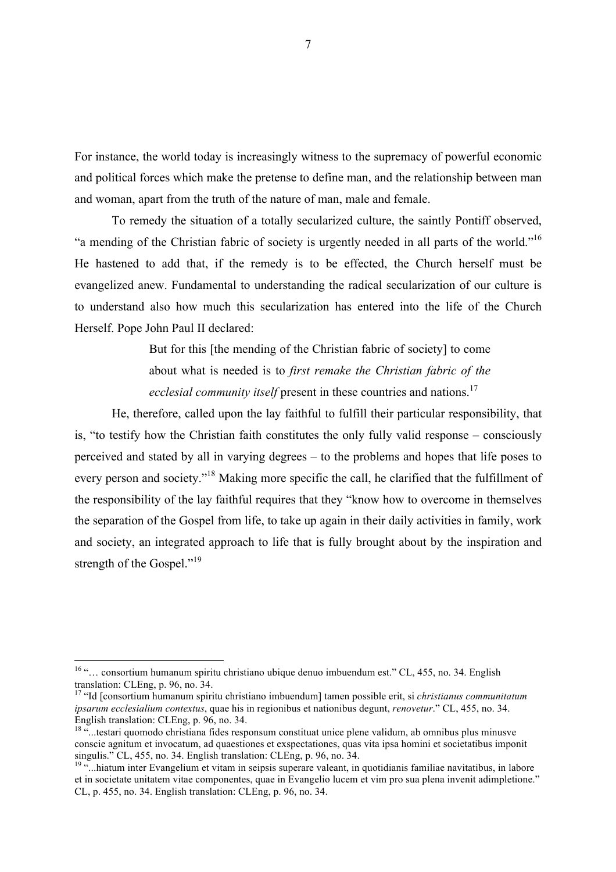For instance, the world today is increasingly witness to the supremacy of powerful economic and political forces which make the pretense to define man, and the relationship between man and woman, apart from the truth of the nature of man, male and female.

To remedy the situation of a totally secularized culture, the saintly Pontiff observed, "a mending of the Christian fabric of society is urgently needed in all parts of the world."16 He hastened to add that, if the remedy is to be effected, the Church herself must be evangelized anew. Fundamental to understanding the radical secularization of our culture is to understand also how much this secularization has entered into the life of the Church Herself. Pope John Paul II declared:

> But for this [the mending of the Christian fabric of society] to come about what is needed is to *first remake the Christian fabric of the ecclesial community itself* present in these countries and nations.<sup>17</sup>

He, therefore, called upon the lay faithful to fulfill their particular responsibility, that is, "to testify how the Christian faith constitutes the only fully valid response – consciously perceived and stated by all in varying degrees – to the problems and hopes that life poses to every person and society."18 Making more specific the call, he clarified that the fulfillment of the responsibility of the lay faithful requires that they "know how to overcome in themselves the separation of the Gospel from life, to take up again in their daily activities in family, work and society, an integrated approach to life that is fully brought about by the inspiration and strength of the Gospel."<sup>19</sup>

<sup>&</sup>lt;sup>16</sup> "... consortium humanum spiritu christiano ubique denuo imbuendum est." CL, 455, no. 34. English translation: CLEng, p. 96, no. 34. <sup>17</sup> "Id [consortium humanum spiritu christiano imbuendum] tamen possible erit, si *christianus communitatum* 

*ipsarum ecclesialium contextus*, quae his in regionibus et nationibus degunt, *renovetur*." CL, 455, no. 34. English translation: CLEng, p. 96, no. 34.

<sup>&</sup>lt;sup>18</sup> "...testari quomodo christiana fides responsum constituat unice plene validum, ab omnibus plus minusve conscie agnitum et invocatum, ad quaestiones et exspectationes, quas vita ipsa homini et societatibus imponit singulis." CL, 455, no. 34. English translation: CLEng, p. 96, no. 34.

<sup>&</sup>lt;sup>19</sup> "...hiatum inter Evangelium et vitam in seipsis superare valeant, in quotidianis familiae navitatibus, in labore et in societate unitatem vitae componentes, quae in Evangelio lucem et vim pro sua plena invenit adimpletione." CL, p. 455, no. 34. English translation: CLEng, p. 96, no. 34.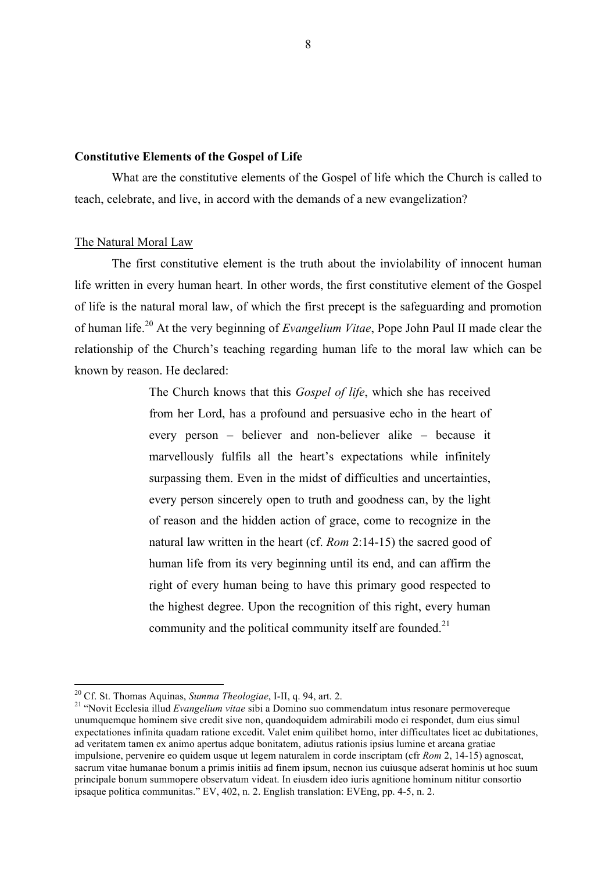### **Constitutive Elements of the Gospel of Life**

What are the constitutive elements of the Gospel of life which the Church is called to teach, celebrate, and live, in accord with the demands of a new evangelization?

### The Natural Moral Law

The first constitutive element is the truth about the inviolability of innocent human life written in every human heart. In other words, the first constitutive element of the Gospel of life is the natural moral law, of which the first precept is the safeguarding and promotion of human life.20 At the very beginning of *Evangelium Vitae*, Pope John Paul II made clear the relationship of the Church's teaching regarding human life to the moral law which can be known by reason. He declared:

> The Church knows that this *Gospel of life*, which she has received from her Lord, has a profound and persuasive echo in the heart of every person – believer and non-believer alike – because it marvellously fulfils all the heart's expectations while infinitely surpassing them. Even in the midst of difficulties and uncertainties, every person sincerely open to truth and goodness can, by the light of reason and the hidden action of grace, come to recognize in the natural law written in the heart (cf. *Rom* 2:14-15) the sacred good of human life from its very beginning until its end, and can affirm the right of every human being to have this primary good respected to the highest degree. Upon the recognition of this right, every human community and the political community itself are founded. $2<sup>1</sup>$

<sup>&</sup>lt;sup>20</sup> Cf. St. Thomas Aquinas, *Summa Theologiae*, I-II, q. 94, art. 2.<br><sup>21</sup> "Novit Ecclesia illud *Evangelium vitae* sibi a Domino suo commendatum intus resonare permovereque unumquemque hominem sive credit sive non, quandoquidem admirabili modo ei respondet, dum eius simul expectationes infinita quadam ratione excedit. Valet enim quilibet homo, inter difficultates licet ac dubitationes, ad veritatem tamen ex animo apertus adque bonitatem, adiutus rationis ipsius lumine et arcana gratiae impulsione, pervenire eo quidem usque ut legem naturalem in corde inscriptam (cfr *Rom* 2, 14-15) agnoscat, sacrum vitae humanae bonum a primis initiis ad finem ipsum, necnon ius cuiusque adserat hominis ut hoc suum principale bonum summopere observatum videat. In eiusdem ideo iuris agnitione hominum nititur consortio ipsaque politica communitas." EV, 402, n. 2. English translation: EVEng, pp. 4-5, n. 2.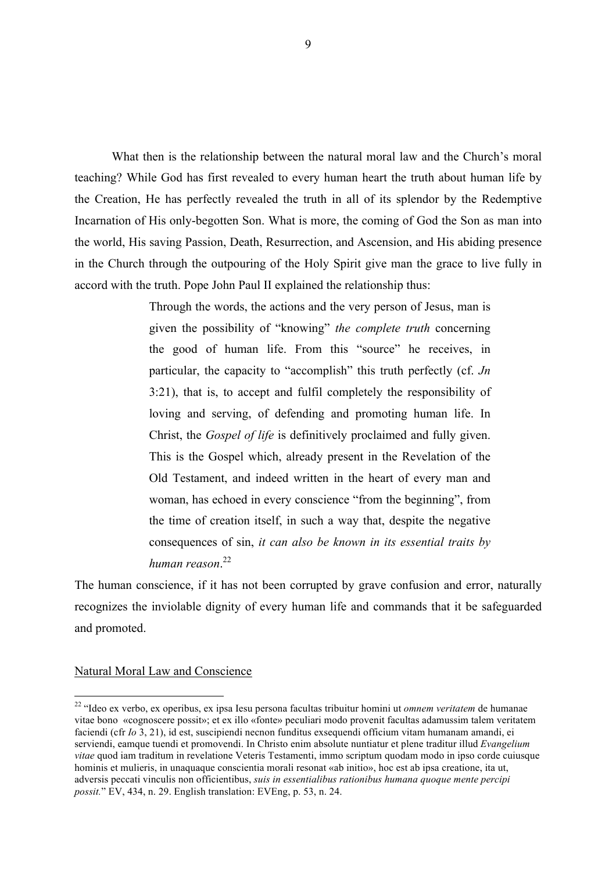What then is the relationship between the natural moral law and the Church's moral teaching? While God has first revealed to every human heart the truth about human life by the Creation, He has perfectly revealed the truth in all of its splendor by the Redemptive Incarnation of His only-begotten Son. What is more, the coming of God the Son as man into the world, His saving Passion, Death, Resurrection, and Ascension, and His abiding presence in the Church through the outpouring of the Holy Spirit give man the grace to live fully in accord with the truth. Pope John Paul II explained the relationship thus:

> Through the words, the actions and the very person of Jesus, man is given the possibility of "knowing" *the complete truth* concerning the good of human life. From this "source" he receives, in particular, the capacity to "accomplish" this truth perfectly (cf. *Jn* 3:21), that is, to accept and fulfil completely the responsibility of loving and serving, of defending and promoting human life. In Christ, the *Gospel of life* is definitively proclaimed and fully given. This is the Gospel which, already present in the Revelation of the Old Testament, and indeed written in the heart of every man and woman, has echoed in every conscience "from the beginning", from the time of creation itself, in such a way that, despite the negative consequences of sin, *it can also be known in its essential traits by human reason*. 22

The human conscience, if it has not been corrupted by grave confusion and error, naturally recognizes the inviolable dignity of every human life and commands that it be safeguarded and promoted.

### Natural Moral Law and Conscience

 <sup>22</sup> "Ideo ex verbo, ex operibus, ex ipsa Iesu persona facultas tribuitur homini ut *omnem veritatem* de humanae vitae bono «cognoscere possit»; et ex illo «fonte» peculiari modo provenit facultas adamussim talem veritatem faciendi (cfr *Io* 3, 21), id est, suscipiendi necnon funditus exsequendi officium vitam humanam amandi, ei serviendi, eamque tuendi et promovendi. In Christo enim absolute nuntiatur et plene traditur illud *Evangelium vitae* quod iam traditum in revelatione Veteris Testamenti, immo scriptum quodam modo in ipso corde cuiusque hominis et mulieris, in unaquaque conscientia morali resonat «ab initio», hoc est ab ipsa creatione, ita ut, adversis peccati vinculis non officientibus, *suis in essentialibus rationibus humana quoque mente percipi possit.*" EV, 434, n. 29. English translation: EVEng, p. 53, n. 24.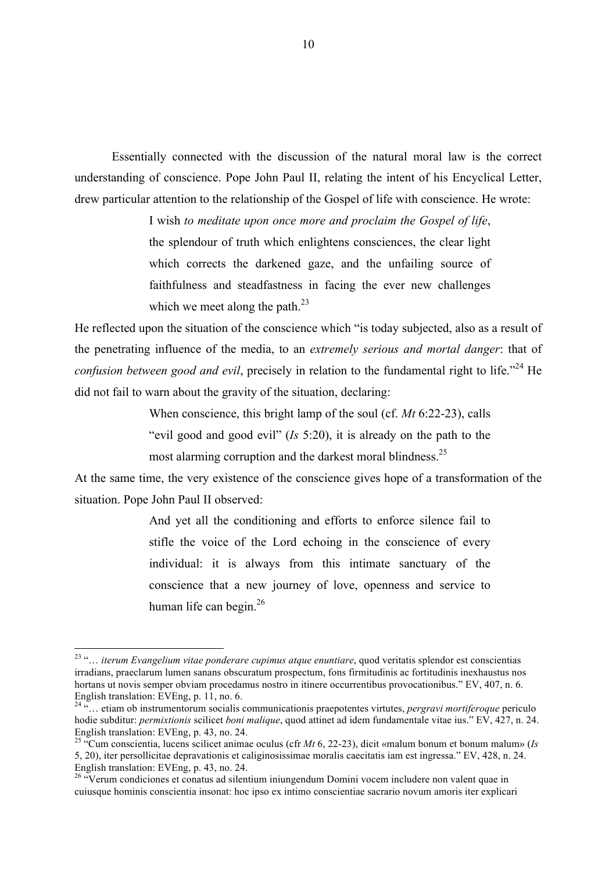Essentially connected with the discussion of the natural moral law is the correct understanding of conscience. Pope John Paul II, relating the intent of his Encyclical Letter, drew particular attention to the relationship of the Gospel of life with conscience. He wrote:

> I wish *to meditate upon once more and proclaim the Gospel of life*, the splendour of truth which enlightens consciences, the clear light which corrects the darkened gaze, and the unfailing source of faithfulness and steadfastness in facing the ever new challenges which we meet along the path. $^{23}$

He reflected upon the situation of the conscience which "is today subjected, also as a result of the penetrating influence of the media, to an *extremely serious and mortal danger*: that of *confusion between good and evil*, precisely in relation to the fundamental right to life."<sup>24</sup> He did not fail to warn about the gravity of the situation, declaring:

When conscience, this bright lamp of the soul (cf. *Mt* 6:22-23), calls

"evil good and good evil" (*Is* 5:20), it is already on the path to the most alarming corruption and the darkest moral blindness.<sup>25</sup>

At the same time, the very existence of the conscience gives hope of a transformation of the situation. Pope John Paul II observed:

> And yet all the conditioning and efforts to enforce silence fail to stifle the voice of the Lord echoing in the conscience of every individual: it is always from this intimate sanctuary of the conscience that a new journey of love, openness and service to human life can begin. $^{26}$

 <sup>23</sup> "… *iterum Evangelium vitae ponderare cupimus atque enuntiare*, quod veritatis splendor est conscientias irradians, praeclarum lumen sanans obscuratum prospectum, fons firmitudinis ac fortitudinis inexhaustus nos hortans ut novis semper obviam procedamus nostro in itinere occurrentibus provocationibus." EV, 407, n. 6. English translation: EVEng, p. 11, no. 6.

<sup>24</sup> "… etiam ob instrumentorum socialis communicationis praepotentes virtutes, *pergravi mortiferoque* periculo hodie subditur: *permixtionis* scilicet *boni malique*, quod attinet ad idem fundamentale vitae ius." EV, 427, n. 24. English translation: EVEng, p. 43, no. 24.

<sup>25</sup> "Cum conscientia, lucens scilicet animae oculus (cfr *Mt* 6, 22-23), dicit «malum bonum et bonum malum» (*Is* 5, 20), iter persollicitae depravationis et caliginosissimae moralis caecitatis iam est ingressa." EV, 428, n. 24. English translation: EVEng, p. 43, no. 24.

<sup>&</sup>lt;sup>26</sup> "Verum condiciones et conatus ad silentium iniungendum Domini vocem includere non valent quae in cuiusque hominis conscientia insonat: hoc ipso ex intimo conscientiae sacrario novum amoris iter explicari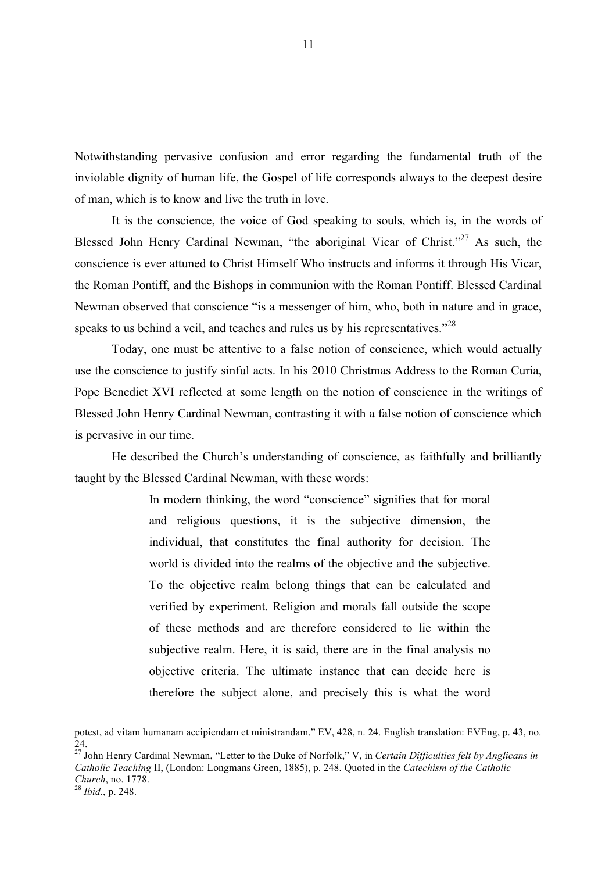Notwithstanding pervasive confusion and error regarding the fundamental truth of the inviolable dignity of human life, the Gospel of life corresponds always to the deepest desire of man, which is to know and live the truth in love.

It is the conscience, the voice of God speaking to souls, which is, in the words of Blessed John Henry Cardinal Newman, "the aboriginal Vicar of Christ."<sup>27</sup> As such, the conscience is ever attuned to Christ Himself Who instructs and informs it through His Vicar, the Roman Pontiff, and the Bishops in communion with the Roman Pontiff. Blessed Cardinal Newman observed that conscience "is a messenger of him, who, both in nature and in grace, speaks to us behind a veil, and teaches and rules us by his representatives."<sup>28</sup>

Today, one must be attentive to a false notion of conscience, which would actually use the conscience to justify sinful acts. In his 2010 Christmas Address to the Roman Curia, Pope Benedict XVI reflected at some length on the notion of conscience in the writings of Blessed John Henry Cardinal Newman, contrasting it with a false notion of conscience which is pervasive in our time.

He described the Church's understanding of conscience, as faithfully and brilliantly taught by the Blessed Cardinal Newman, with these words:

> In modern thinking, the word "conscience" signifies that for moral and religious questions, it is the subjective dimension, the individual, that constitutes the final authority for decision. The world is divided into the realms of the objective and the subjective. To the objective realm belong things that can be calculated and verified by experiment. Religion and morals fall outside the scope of these methods and are therefore considered to lie within the subjective realm. Here, it is said, there are in the final analysis no objective criteria. The ultimate instance that can decide here is therefore the subject alone, and precisely this is what the word

 $\overline{a}$ 

potest, ad vitam humanam accipiendam et ministrandam." EV, 428, n. 24. English translation: EVEng, p. 43, no. 24.

<sup>27</sup> John Henry Cardinal Newman, "Letter to the Duke of Norfolk," V, in *Certain Difficulties felt by Anglicans in Catholic Teaching* II, (London: Longmans Green, 1885), p. 248. Quoted in the *Catechism of the Catholic Church*, no. 1778.<br><sup>28</sup> *Ibid.*, p. 248.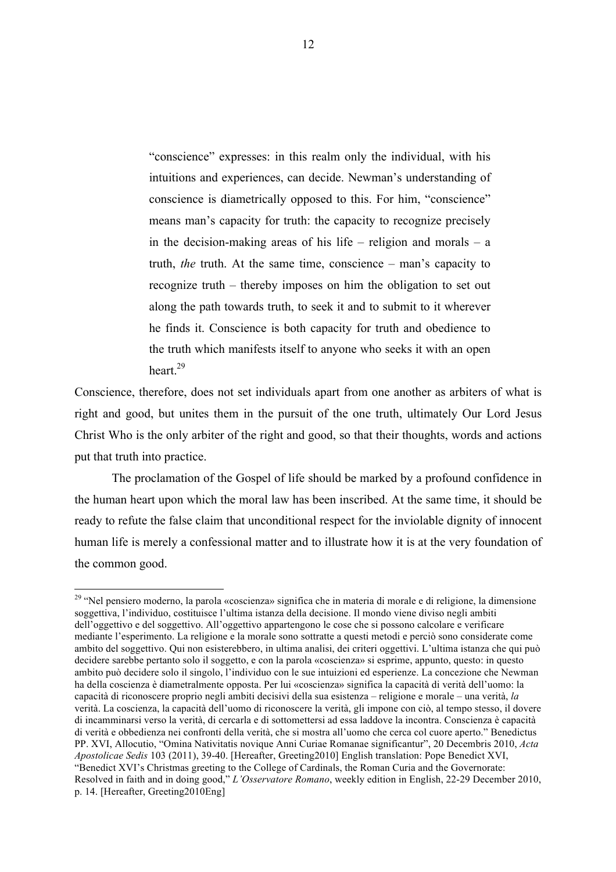"conscience" expresses: in this realm only the individual, with his intuitions and experiences, can decide. Newman's understanding of conscience is diametrically opposed to this. For him, "conscience" means man's capacity for truth: the capacity to recognize precisely in the decision-making areas of his life – religion and morals –  $a$ truth, *the* truth. At the same time, conscience – man's capacity to recognize truth – thereby imposes on him the obligation to set out along the path towards truth, to seek it and to submit to it wherever he finds it. Conscience is both capacity for truth and obedience to the truth which manifests itself to anyone who seeks it with an open heart<sup>29</sup>

Conscience, therefore, does not set individuals apart from one another as arbiters of what is right and good, but unites them in the pursuit of the one truth, ultimately Our Lord Jesus Christ Who is the only arbiter of the right and good, so that their thoughts, words and actions put that truth into practice.

The proclamation of the Gospel of life should be marked by a profound confidence in the human heart upon which the moral law has been inscribed. At the same time, it should be ready to refute the false claim that unconditional respect for the inviolable dignity of innocent human life is merely a confessional matter and to illustrate how it is at the very foundation of the common good.

<sup>&</sup>lt;sup>29</sup> "Nel pensiero moderno, la parola «coscienza» significa che in materia di morale e di religione, la dimensione soggettiva, l'individuo, costituisce l'ultima istanza della decisione. Il mondo viene diviso negli ambiti dell'oggettivo e del soggettivo. All'oggettivo appartengono le cose che si possono calcolare e verificare mediante l'esperimento. La religione e la morale sono sottratte a questi metodi e perciò sono considerate come ambito del soggettivo. Qui non esisterebbero, in ultima analisi, dei criteri oggettivi. L'ultima istanza che qui può decidere sarebbe pertanto solo il soggetto, e con la parola «coscienza» si esprime, appunto, questo: in questo ambito può decidere solo il singolo, l'individuo con le sue intuizioni ed esperienze. La concezione che Newman ha della coscienza è diametralmente opposta. Per lui «coscienza» significa la capacità di verità dell'uomo: la capacità di riconoscere proprio negli ambiti decisivi della sua esistenza – religione e morale – una verità, *la* verità. La coscienza, la capacità dell'uomo di riconoscere la verità, gli impone con ciò, al tempo stesso, il dovere di incamminarsi verso la verità, di cercarla e di sottomettersi ad essa laddove la incontra. Conscienza è capacità di verità e obbedienza nei confronti della verità, che si mostra all'uomo che cerca col cuore aperto." Benedictus PP. XVI, Allocutio, "Omina Nativitatis novique Anni Curiae Romanae significantur", 20 Decembris 2010, *Acta Apostolicae Sedis* 103 (2011), 39-40. [Hereafter, Greeting2010] English translation: Pope Benedict XVI, "Benedict XVI's Christmas greeting to the College of Cardinals, the Roman Curia and the Governorate: Resolved in faith and in doing good," *L'Osservatore Romano*, weekly edition in English, 22-29 December 2010, p. 14. [Hereafter, Greeting2010Eng]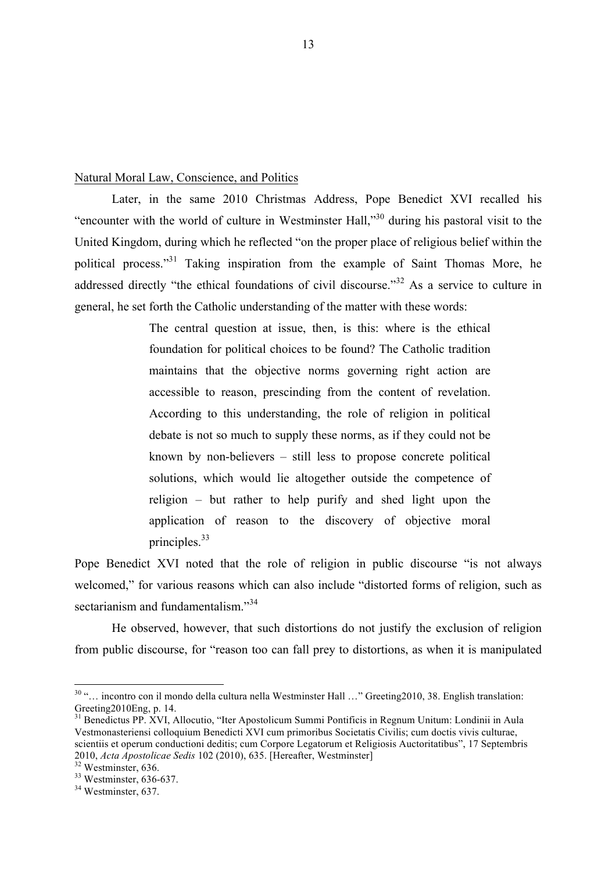### Natural Moral Law, Conscience, and Politics

Later, in the same 2010 Christmas Address, Pope Benedict XVI recalled his "encounter with the world of culture in Westminster Hall,"30 during his pastoral visit to the United Kingdom, during which he reflected "on the proper place of religious belief within the political process."<sup>31</sup> Taking inspiration from the example of Saint Thomas More, he addressed directly "the ethical foundations of civil discourse."<sup>32</sup> As a service to culture in general, he set forth the Catholic understanding of the matter with these words:

> The central question at issue, then, is this: where is the ethical foundation for political choices to be found? The Catholic tradition maintains that the objective norms governing right action are accessible to reason, prescinding from the content of revelation. According to this understanding, the role of religion in political debate is not so much to supply these norms, as if they could not be known by non-believers – still less to propose concrete political solutions, which would lie altogether outside the competence of religion – but rather to help purify and shed light upon the application of reason to the discovery of objective moral principles.<sup>33</sup>

Pope Benedict XVI noted that the role of religion in public discourse "is not always welcomed," for various reasons which can also include "distorted forms of religion, such as sectarianism and fundamentalism."<sup>34</sup>

He observed, however, that such distortions do not justify the exclusion of religion from public discourse, for "reason too can fall prey to distortions, as when it is manipulated

 <sup>30</sup> "… incontro con il mondo della cultura nella Westminster Hall …" Greeting2010, 38. English translation: Greeting2010Eng, p. 14.

<sup>&</sup>lt;sup>31</sup> Benedictus PP. XVI, Allocutio, "Iter Apostolicum Summi Pontificis in Regnum Unitum: Londinii in Aula Vestmonasteriensi colloquium Benedicti XVI cum primoribus Societatis Civilis; cum doctis vivis culturae, scientiis et operum conductioni deditis; cum Corpore Legatorum et Religiosis Auctoritatibus", 17 Septembris 2010, *Acta Apostolicae Sedis* 102 (2010), 635. [Hereafter, Westminster]<br><sup>32</sup> Westminster, 636.<br><sup>33</sup> Westminster, 636-637.<br><sup>34</sup> Westminster. 637.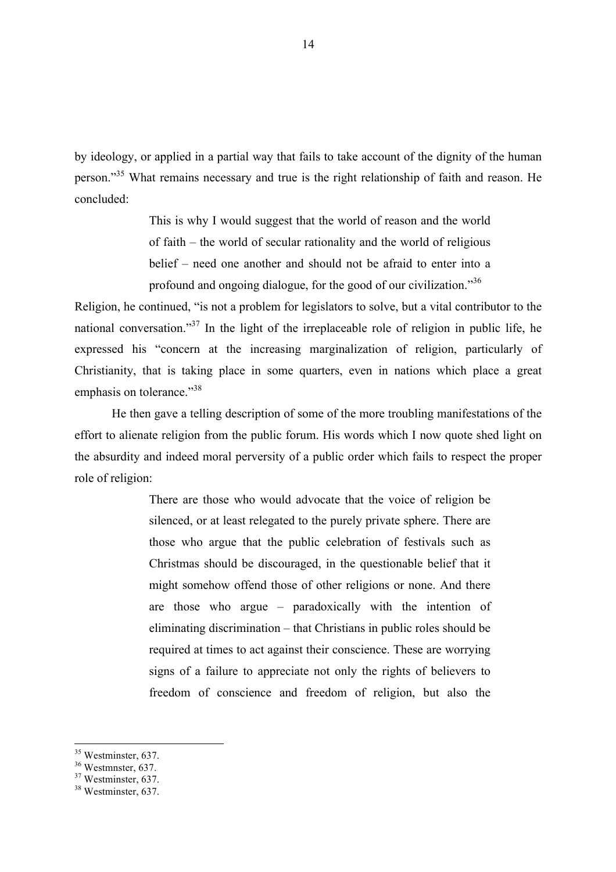by ideology, or applied in a partial way that fails to take account of the dignity of the human person."35 What remains necessary and true is the right relationship of faith and reason. He concluded:

> This is why I would suggest that the world of reason and the world of faith – the world of secular rationality and the world of religious belief – need one another and should not be afraid to enter into a profound and ongoing dialogue, for the good of our civilization."<sup>36</sup>

Religion, he continued, "is not a problem for legislators to solve, but a vital contributor to the national conversation."<sup>37</sup> In the light of the irreplaceable role of religion in public life, he expressed his "concern at the increasing marginalization of religion, particularly of Christianity, that is taking place in some quarters, even in nations which place a great emphasis on tolerance."<sup>38</sup>

He then gave a telling description of some of the more troubling manifestations of the effort to alienate religion from the public forum. His words which I now quote shed light on the absurdity and indeed moral perversity of a public order which fails to respect the proper role of religion:

> There are those who would advocate that the voice of religion be silenced, or at least relegated to the purely private sphere. There are those who argue that the public celebration of festivals such as Christmas should be discouraged, in the questionable belief that it might somehow offend those of other religions or none. And there are those who argue – paradoxically with the intention of eliminating discrimination – that Christians in public roles should be required at times to act against their conscience. These are worrying signs of a failure to appreciate not only the rights of believers to freedom of conscience and freedom of religion, but also the

<sup>&</sup>lt;sup>35</sup> Westminster, 637.<br><sup>36</sup> Westminster, 637.<br><sup>37</sup> Westminster, 637.<br><sup>38</sup> Westminster, 637.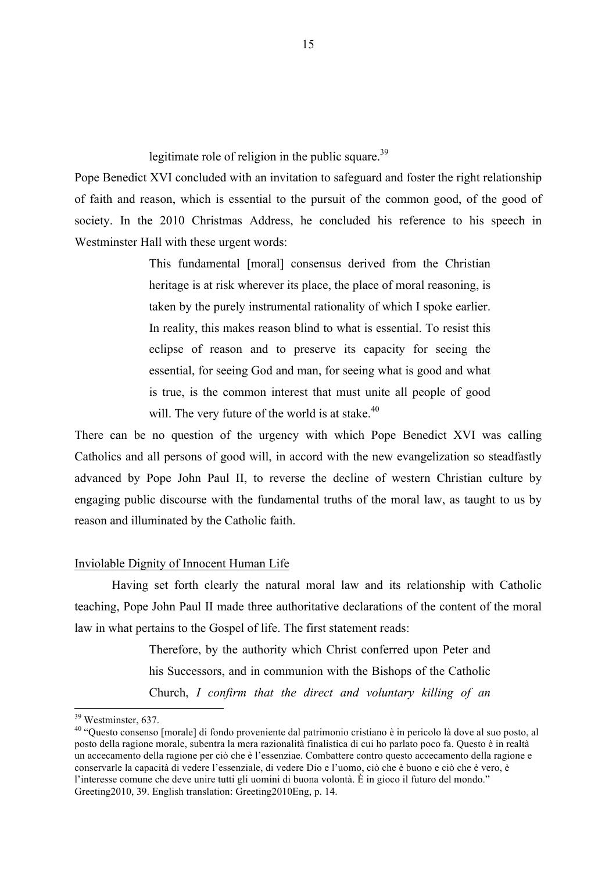legitimate role of religion in the public square.<sup>39</sup>

Pope Benedict XVI concluded with an invitation to safeguard and foster the right relationship of faith and reason, which is essential to the pursuit of the common good, of the good of society. In the 2010 Christmas Address, he concluded his reference to his speech in Westminster Hall with these urgent words:

> This fundamental [moral] consensus derived from the Christian heritage is at risk wherever its place, the place of moral reasoning, is taken by the purely instrumental rationality of which I spoke earlier. In reality, this makes reason blind to what is essential. To resist this eclipse of reason and to preserve its capacity for seeing the essential, for seeing God and man, for seeing what is good and what is true, is the common interest that must unite all people of good will. The very future of the world is at stake.<sup>40</sup>

There can be no question of the urgency with which Pope Benedict XVI was calling Catholics and all persons of good will, in accord with the new evangelization so steadfastly advanced by Pope John Paul II, to reverse the decline of western Christian culture by engaging public discourse with the fundamental truths of the moral law, as taught to us by reason and illuminated by the Catholic faith.

### Inviolable Dignity of Innocent Human Life

Having set forth clearly the natural moral law and its relationship with Catholic teaching, Pope John Paul II made three authoritative declarations of the content of the moral law in what pertains to the Gospel of life. The first statement reads:

> Therefore, by the authority which Christ conferred upon Peter and his Successors, and in communion with the Bishops of the Catholic Church, *I confirm that the direct and voluntary killing of an*

<sup>&</sup>lt;sup>39</sup> Westminster, 637.<br><sup>40</sup> "Questo consenso [morale] di fondo proveniente dal patrimonio cristiano è in pericolo là dove al suo posto, al posto della ragione morale, subentra la mera razionalità finalistica di cui ho parlato poco fa. Questo è in realtà un accecamento della ragione per ciò che è l'essenziae. Combattere contro questo accecamento della ragione e conservarle la capacità di vedere l'essenziale, di vedere Dio e l'uomo, ciò che è buono e ciò che è vero, è l'interesse comune che deve unire tutti gli uomini di buona volontà. È in gioco il futuro del mondo." Greeting2010, 39. English translation: Greeting2010Eng, p. 14.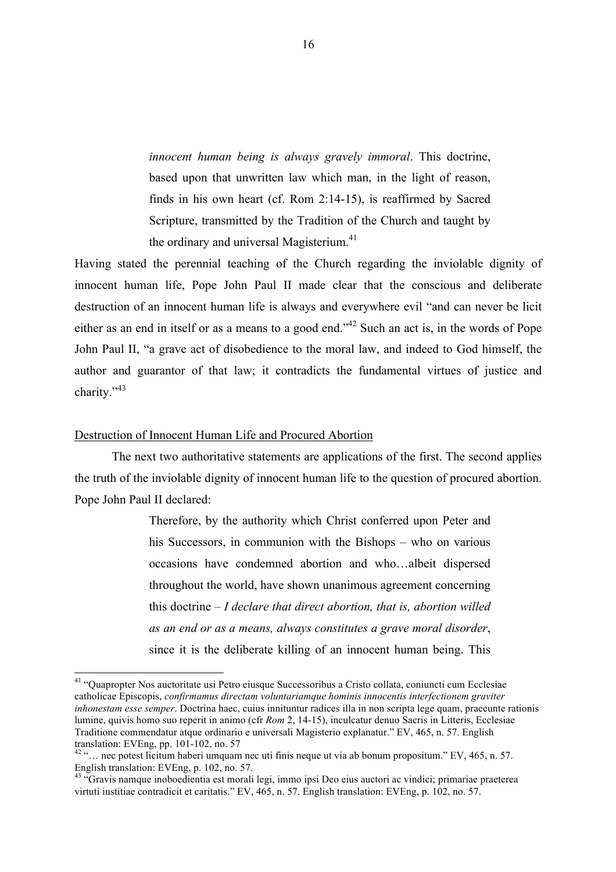*innocent human being is always gravely immoral*. This doctrine, based upon that unwritten law which man, in the light of reason, finds in his own heart (cf. Rom 2:14-15), is reaffirmed by Sacred Scripture, transmitted by the Tradition of the Church and taught by the ordinary and universal Magisterium.<sup>41</sup>

Having stated the perennial teaching of the Church regarding the inviolable dignity of innocent human life, Pope John Paul II made clear that the conscious and deliberate destruction of an innocent human life is always and everywhere evil "and can never be licit either as an end in itself or as a means to a good end."<sup>42</sup> Such an act is, in the words of Pope John Paul II, "a grave act of disobedience to the moral law, and indeed to God himself, the author and guarantor of that law; it contradicts the fundamental virtues of justice and charity."<sup>43</sup>

### Destruction of Innocent Human Life and Procured Abortion

The next two authoritative statements are applications of the first. The second applies the truth of the inviolable dignity of innocent human life to the question of procured abortion. Pope John Paul II declared:

> Therefore, by the authority which Christ conferred upon Peter and his Successors, in communion with the Bishops – who on various occasions have condemned abortion and who…albeit dispersed throughout the world, have shown unanimous agreement concerning this doctrine – *I declare that direct abortion, that is, abortion willed as an end or as a means, always constitutes a grave moral disorder*, since it is the deliberate killing of an innocent human being. This

 <sup>41</sup> "Quapropter Nos auctoritate usi Petro eiusque Successoribus a Cristo collata, coniuncti cum Ecclesiae catholicae Episcopis, *confirmamus directam voluntariamque hominis innocentis interfectionem graviter inhonestam esse semper*. Doctrina haec, cuius innituntur radices illa in non scripta lege quam, praeeunte rationis lumine, quivis homo suo reperit in animo (cfr *Rom* 2, 14-15), inculcatur denuo Sacris in Litteris, Ecclesiae Traditione commendatur atque ordinario e universali Magisterio explanatur." EV, 465, n. 57. English

translation: EVEng, pp. 101-102, no. 57<br><sup>42</sup> "… nec potest licitum haberi umquam nec uti finis neque ut via ab bonum propositum." EV, 465, n. 57. English translation: EVEng, p. 102, no. 57.

<sup>43 &</sup>quot;Gravis namque inoboedientia est morali legi, immo ipsi Deo eius auctori ac vindici; primariae praeterea virtuti iustitiae contradicit et caritatis." EV, 465, n. 57. English translation: EVEng, p. 102, no. 57.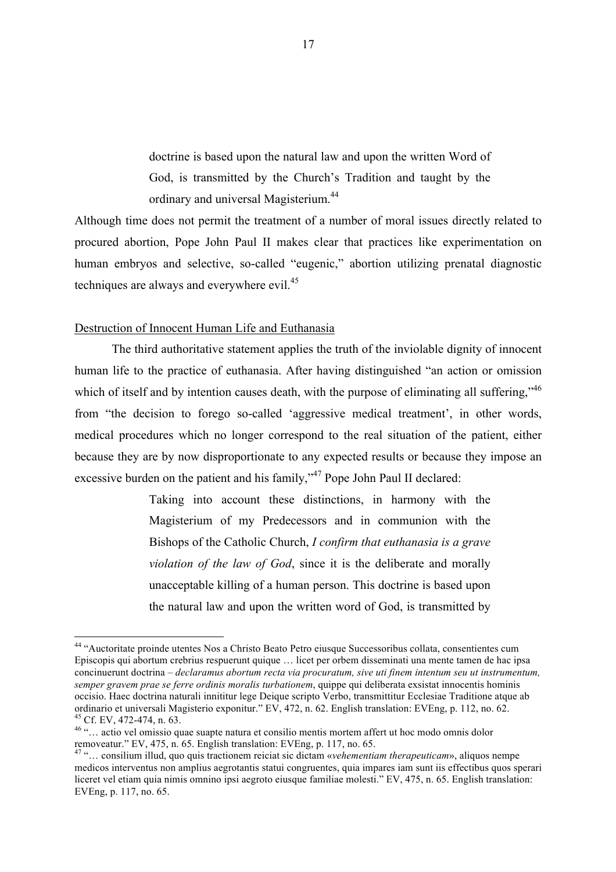doctrine is based upon the natural law and upon the written Word of God, is transmitted by the Church's Tradition and taught by the ordinary and universal Magisterium.<sup>44</sup>

Although time does not permit the treatment of a number of moral issues directly related to procured abortion, Pope John Paul II makes clear that practices like experimentation on human embryos and selective, so-called "eugenic," abortion utilizing prenatal diagnostic techniques are always and everywhere evil.<sup>45</sup>

### Destruction of Innocent Human Life and Euthanasia

The third authoritative statement applies the truth of the inviolable dignity of innocent human life to the practice of euthanasia. After having distinguished "an action or omission which of itself and by intention causes death, with the purpose of eliminating all suffering,"<sup>46</sup> from "the decision to forego so-called 'aggressive medical treatment', in other words, medical procedures which no longer correspond to the real situation of the patient, either because they are by now disproportionate to any expected results or because they impose an excessive burden on the patient and his family,"<sup>47</sup> Pope John Paul II declared:

> Taking into account these distinctions, in harmony with the Magisterium of my Predecessors and in communion with the Bishops of the Catholic Church, *I confirm that euthanasia is a grave violation of the law of God*, since it is the deliberate and morally unacceptable killing of a human person. This doctrine is based upon the natural law and upon the written word of God, is transmitted by

 <sup>44</sup> "Auctoritate proinde utentes Nos a Christo Beato Petro eiusque Successoribus collata, consentientes cum Episcopis qui abortum crebrius respuerunt quique … licet per orbem disseminati una mente tamen de hac ipsa concinuerunt doctrina – *declaramus abortum recta via procuratum, sive uti finem intentum seu ut instrumentum, semper gravem prae se ferre ordinis moralis turbationem*, quippe qui deliberata exsistat innocentis hominis occisio. Haec doctrina naturali innititur lege Deique scripto Verbo, transmittitur Ecclesiae Traditione atque ab ordinario et universali Magisterio exponitur." EV, 472, n. 62. English translation: EVEng, p. 112, no. 62.<br><sup>45</sup> Cf. EV, 472-474, n. 63.

<sup>&</sup>lt;sup>46</sup> "... actio vel omissio quae suapte natura et consilio mentis mortem affert ut hoc modo omnis dolor removeatur." EV, 475, n. 65. English translation: EVEng, p. 117, no. 65.

<sup>47</sup> "… consilium illud, quo quis tractionem reiciat sic dictam «*vehementiam therapeuticam*», aliquos nempe medicos interventus non amplius aegrotantis statui congruentes, quia impares iam sunt iis effectibus quos sperari liceret vel etiam quia nimis omnino ipsi aegroto eiusque familiae molesti." EV, 475, n. 65. English translation: EVEng, p. 117, no. 65.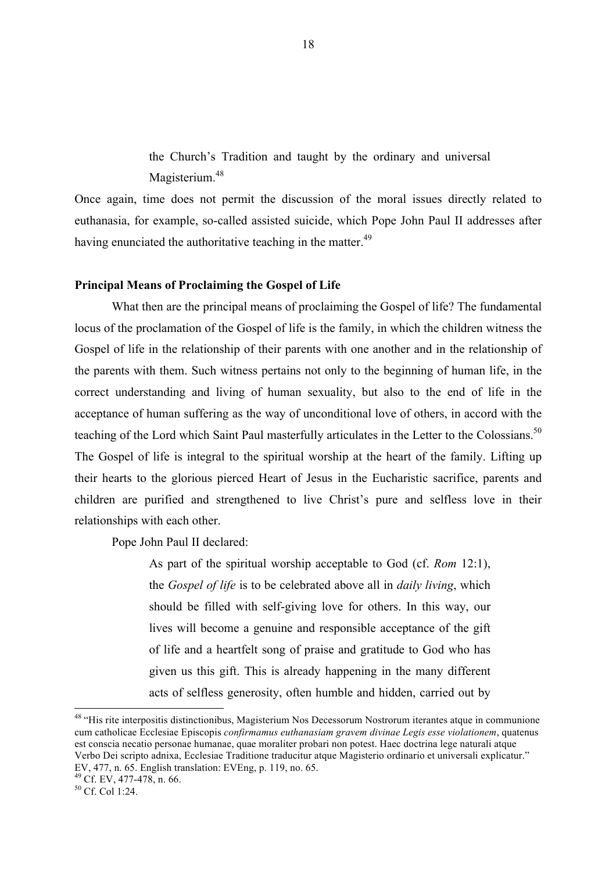the Church's Tradition and taught by the ordinary and universal Magisterium.<sup>48</sup>

Once again, time does not permit the discussion of the moral issues directly related to euthanasia, for example, so-called assisted suicide, which Pope John Paul II addresses after having enunciated the authoritative teaching in the matter.<sup>49</sup>

### **Principal Means of Proclaiming the Gospel of Life**

What then are the principal means of proclaiming the Gospel of life? The fundamental locus of the proclamation of the Gospel of life is the family, in which the children witness the Gospel of life in the relationship of their parents with one another and in the relationship of the parents with them. Such witness pertains not only to the beginning of human life, in the correct understanding and living of human sexuality, but also to the end of life in the acceptance of human suffering as the way of unconditional love of others, in accord with the teaching of the Lord which Saint Paul masterfully articulates in the Letter to the Colossians.<sup>50</sup> The Gospel of life is integral to the spiritual worship at the heart of the family. Lifting up their hearts to the glorious pierced Heart of Jesus in the Eucharistic sacrifice, parents and children are purified and strengthened to live Christ's pure and selfless love in their relationships with each other.

Pope John Paul II declared:

As part of the spiritual worship acceptable to God (cf. *Rom* 12:1), the *Gospel of life* is to be celebrated above all in *daily living*, which should be filled with self-giving love for others. In this way, our lives will become a genuine and responsible acceptance of the gift of life and a heartfelt song of praise and gratitude to God who has given us this gift. This is already happening in the many different acts of selfless generosity, often humble and hidden, carried out by

<sup>&</sup>lt;sup>48</sup> "His rite interpositis distinctionibus, Magisterium Nos Decessorum Nostrorum iterantes atque in communione cum catholicae Ecclesiae Episcopis *confirmamus euthanasiam gravem divinae Legis esse violationem*, quatenus est conscia necatio personae humanae, quae moraliter probari non potest. Haec doctrina lege naturali atque Verbo Dei scripto adnixa, Ecclesiae Traditione traducitur atque Magisterio ordinario et universali explicatur." EV, 477, n. 65. English translation: EVEng, p. 119, no. 65.

 $^{49}$  Cf. EV, 477-478, n. 66.<br><sup>50</sup> Cf. Col 1:24.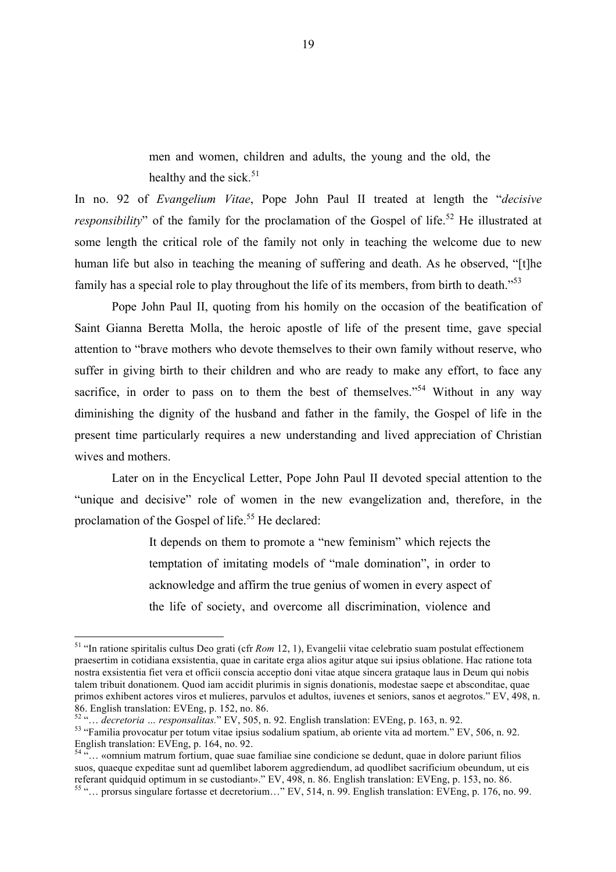men and women, children and adults, the young and the old, the healthy and the sick.<sup>51</sup>

In no. 92 of *Evangelium Vitae*, Pope John Paul II treated at length the "*decisive responsibility*" of the family for the proclamation of the Gospel of life.<sup>52</sup> He illustrated at some length the critical role of the family not only in teaching the welcome due to new human life but also in teaching the meaning of suffering and death. As he observed, "[t]he family has a special role to play throughout the life of its members, from birth to death.<sup>553</sup>

Pope John Paul II, quoting from his homily on the occasion of the beatification of Saint Gianna Beretta Molla, the heroic apostle of life of the present time, gave special attention to "brave mothers who devote themselves to their own family without reserve, who suffer in giving birth to their children and who are ready to make any effort, to face any sacrifice, in order to pass on to them the best of themselves."<sup>54</sup> Without in any way diminishing the dignity of the husband and father in the family, the Gospel of life in the present time particularly requires a new understanding and lived appreciation of Christian wives and mothers.

Later on in the Encyclical Letter, Pope John Paul II devoted special attention to the "unique and decisive" role of women in the new evangelization and, therefore, in the proclamation of the Gospel of life.<sup>55</sup> He declared:

> It depends on them to promote a "new feminism" which rejects the temptation of imitating models of "male domination", in order to acknowledge and affirm the true genius of women in every aspect of the life of society, and overcome all discrimination, violence and

 <sup>51</sup> "In ratione spiritalis cultus Deo grati (cfr *Rom* 12, 1), Evangelii vitae celebratio suam postulat effectionem praesertim in cotidiana exsistentia, quae in caritate erga alios agitur atque sui ipsius oblatione. Hac ratione tota nostra exsistentia fiet vera et officii conscia acceptio doni vitae atque sincera grataque laus in Deum qui nobis talem tribuit donationem. Quod iam accidit plurimis in signis donationis, modestae saepe et absconditae, quae primos exhibent actores viros et mulieres, parvulos et adultos, iuvenes et seniors, sanos et aegrotos." EV, 498, n. 86. English translation: EVEng, p. 152, no. 86.<br>
<sup>52</sup> "... *decretoria ... responsalitas.*" EV, 505, n. 92. English translation: EVEng, p. 163, n. 92.

<sup>&</sup>lt;sup>53</sup> "Familia provocatur per totum vitae ipsius sodalium spatium, ab oriente vita ad mortem." EV, 506, n. 92. English translation: EVEng, p. 164, no. 92.

 $\frac{5}{10}$  «omnium matrum fortium, quae suae familiae sine condicione se dedunt, quae in dolore pariunt filios suos, quaeque expeditae sunt ad quemlibet laborem aggrediendum, ad quodlibet sacrificium obeundum, ut eis referant quidquid optimum in se custodiant»." EV, 498, n. 86. English translation: EVEng, p. 153, no. 86. <sup>55</sup> "… prorsus singulare fortasse et decretorium…" EV, 514, n. 99. English translation: EVEng, p. 176, no. 99.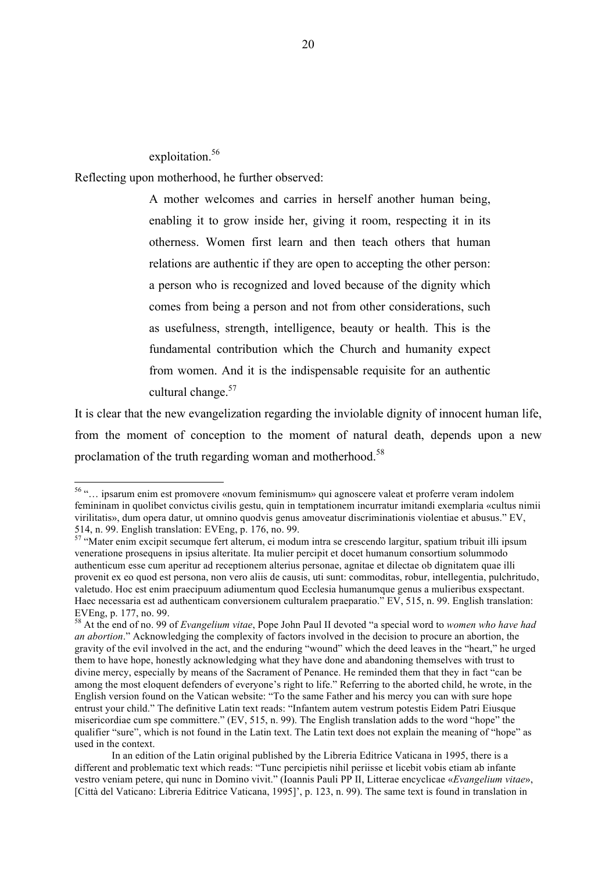exploitation.<sup>56</sup>

Reflecting upon motherhood, he further observed:

A mother welcomes and carries in herself another human being, enabling it to grow inside her, giving it room, respecting it in its otherness. Women first learn and then teach others that human relations are authentic if they are open to accepting the other person: a person who is recognized and loved because of the dignity which comes from being a person and not from other considerations, such as usefulness, strength, intelligence, beauty or health. This is the fundamental contribution which the Church and humanity expect from women. And it is the indispensable requisite for an authentic cultural change.<sup>57</sup>

It is clear that the new evangelization regarding the inviolable dignity of innocent human life, from the moment of conception to the moment of natural death, depends upon a new proclamation of the truth regarding woman and motherhood.<sup>58</sup>

 <sup>56</sup> "… ipsarum enim est promovere «novum feminismum» qui agnoscere valeat et proferre veram indolem femininam in quolibet convictus civilis gestu, quin in temptationem incurratur imitandi exemplaria «cultus nimii virilitatis», dum opera datur, ut omnino quodvis genus amoveatur discriminationis violentiae et abusus." EV, 514, n. 99. English translation: EVEng, p. 176, no. 99.

<sup>57</sup> "Mater enim excipit secumque fert alterum, ei modum intra se crescendo largitur, spatium tribuit illi ipsum veneratione prosequens in ipsius alteritate. Ita mulier percipit et docet humanum consortium solummodo authenticum esse cum aperitur ad receptionem alterius personae, agnitae et dilectae ob dignitatem quae illi provenit ex eo quod est persona, non vero aliis de causis, uti sunt: commoditas, robur, intellegentia, pulchritudo, valetudo. Hoc est enim praecipuum adiumentum quod Ecclesia humanumque genus a mulieribus exspectant. Haec necessaria est ad authenticam conversionem culturalem praeparatio." EV, 515, n. 99. English translation: EVEng, p. 177, no. 99.

<sup>58</sup> At the end of no. 99 of *Evangelium vitae*, Pope John Paul II devoted "a special word to *women who have had an abortion*." Acknowledging the complexity of factors involved in the decision to procure an abortion, the gravity of the evil involved in the act, and the enduring "wound" which the deed leaves in the "heart," he urged them to have hope, honestly acknowledging what they have done and abandoning themselves with trust to divine mercy, especially by means of the Sacrament of Penance. He reminded them that they in fact "can be among the most eloquent defenders of everyone's right to life." Referring to the aborted child, he wrote, in the English version found on the Vatican website: "To the same Father and his mercy you can with sure hope entrust your child." The definitive Latin text reads: "Infantem autem vestrum potestis Eidem Patri Eiusque misericordiae cum spe committere." (EV, 515, n. 99). The English translation adds to the word "hope" the qualifier "sure", which is not found in the Latin text. The Latin text does not explain the meaning of "hope" as used in the context.

In an edition of the Latin original published by the Libreria Editrice Vaticana in 1995, there is a different and problematic text which reads: "Tunc percipietis nihil periisse et licebit vobis etiam ab infante vestro veniam petere, qui nunc in Domino vivit." (Ioannis Pauli PP II, Litterae encyclicae «*Evangelium vitae*», [Città del Vaticano: Libreria Editrice Vaticana, 1995]', p. 123, n. 99). The same text is found in translation in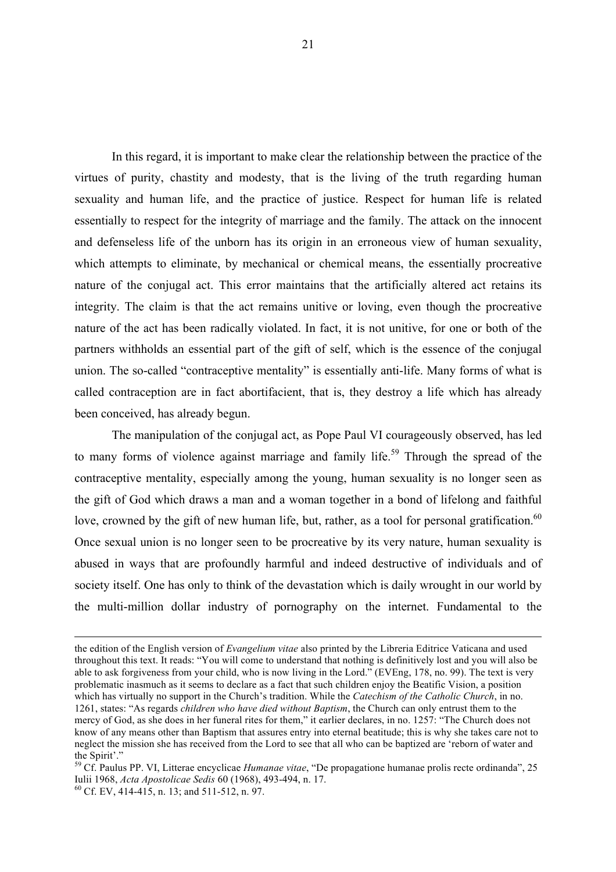In this regard, it is important to make clear the relationship between the practice of the virtues of purity, chastity and modesty, that is the living of the truth regarding human sexuality and human life, and the practice of justice. Respect for human life is related essentially to respect for the integrity of marriage and the family. The attack on the innocent and defenseless life of the unborn has its origin in an erroneous view of human sexuality, which attempts to eliminate, by mechanical or chemical means, the essentially procreative nature of the conjugal act. This error maintains that the artificially altered act retains its integrity. The claim is that the act remains unitive or loving, even though the procreative nature of the act has been radically violated. In fact, it is not unitive, for one or both of the partners withholds an essential part of the gift of self, which is the essence of the conjugal union. The so-called "contraceptive mentality" is essentially anti-life. Many forms of what is called contraception are in fact abortifacient, that is, they destroy a life which has already been conceived, has already begun.

The manipulation of the conjugal act, as Pope Paul VI courageously observed, has led to many forms of violence against marriage and family life.<sup>59</sup> Through the spread of the contraceptive mentality, especially among the young, human sexuality is no longer seen as the gift of God which draws a man and a woman together in a bond of lifelong and faithful love, crowned by the gift of new human life, but, rather, as a tool for personal gratification.<sup>60</sup> Once sexual union is no longer seen to be procreative by its very nature, human sexuality is abused in ways that are profoundly harmful and indeed destructive of individuals and of society itself. One has only to think of the devastation which is daily wrought in our world by the multi-million dollar industry of pornography on the internet. Fundamental to the

the edition of the English version of *Evangelium vitae* also printed by the Libreria Editrice Vaticana and used throughout this text. It reads: "You will come to understand that nothing is definitively lost and you will also be able to ask forgiveness from your child, who is now living in the Lord." (EVEng, 178, no. 99). The text is very problematic inasmuch as it seems to declare as a fact that such children enjoy the Beatific Vision, a position which has virtually no support in the Church's tradition. While the *Catechism of the Catholic Church*, in no. 1261, states: "As regards *children who have died without Baptism*, the Church can only entrust them to the mercy of God, as she does in her funeral rites for them," it earlier declares, in no. 1257: "The Church does not know of any means other than Baptism that assures entry into eternal beatitude; this is why she takes care not to neglect the mission she has received from the Lord to see that all who can be baptized are 'reborn of water and the Spirit'."

<sup>59</sup> Cf. Paulus PP. VI, Litterae encyclicae *Humanae vitae*, "De propagatione humanae prolis recte ordinanda", 25 Iulii 1968, *Acta Apostolicae Sedis* 60 (1968), 493-494, n. 17. <sup>60</sup> Cf. EV, 414-415, n. 13; and 511-512, n. 97.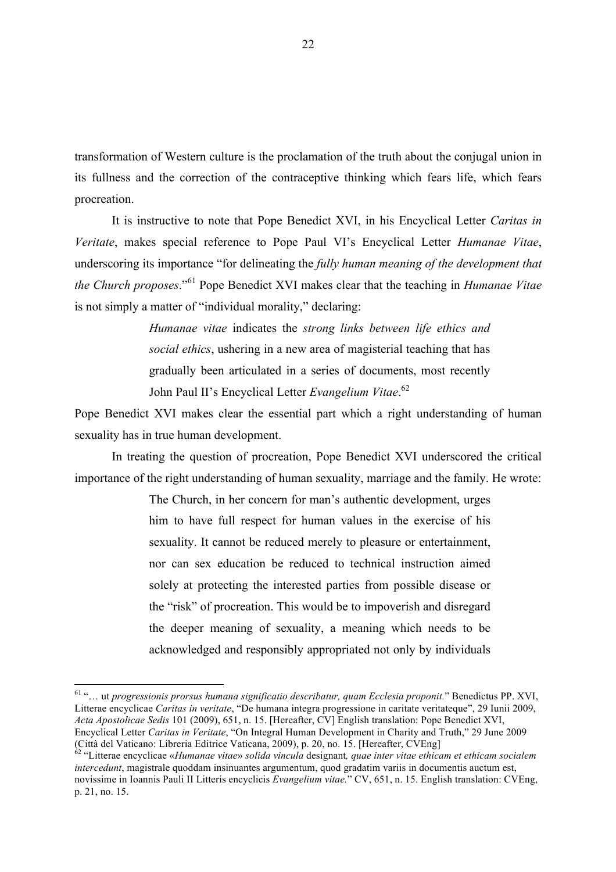transformation of Western culture is the proclamation of the truth about the conjugal union in its fullness and the correction of the contraceptive thinking which fears life, which fears procreation.

It is instructive to note that Pope Benedict XVI, in his Encyclical Letter *Caritas in Veritate*, makes special reference to Pope Paul VI's Encyclical Letter *Humanae Vitae*, underscoring its importance "for delineating the *fully human meaning of the development that the Church proposes*."<sup>61</sup> Pope Benedict XVI makes clear that the teaching in *Humanae Vitae* is not simply a matter of "individual morality," declaring:

> *Humanae vitae* indicates the *strong links between life ethics and social ethics*, ushering in a new area of magisterial teaching that has gradually been articulated in a series of documents, most recently John Paul II's Encyclical Letter *Evangelium Vitae*. 62

Pope Benedict XVI makes clear the essential part which a right understanding of human sexuality has in true human development.

In treating the question of procreation, Pope Benedict XVI underscored the critical importance of the right understanding of human sexuality, marriage and the family. He wrote:

> The Church, in her concern for man's authentic development, urges him to have full respect for human values in the exercise of his sexuality. It cannot be reduced merely to pleasure or entertainment, nor can sex education be reduced to technical instruction aimed solely at protecting the interested parties from possible disease or the "risk" of procreation. This would be to impoverish and disregard the deeper meaning of sexuality, a meaning which needs to be acknowledged and responsibly appropriated not only by individuals

 <sup>61</sup> "… ut *progressionis prorsus humana significatio describatur, quam Ecclesia proponit.*" Benedictus PP. XVI, Litterae encyclicae *Caritas in veritate*, "De humana integra progressione in caritate veritateque", 29 Iunii 2009, *Acta Apostolicae Sedis* 101 (2009), 651, n. 15. [Hereafter, CV] English translation: Pope Benedict XVI, Encyclical Letter *Caritas in Veritate*, "On Integral Human Development in Charity and Truth," 29 June 2009 (Città del Vaticano: Libreria Editrice Vaticana, 2009), p. 20, no. 15. [Hereafter, CVEng]

<sup>62</sup> "Litterae encyclicae «*Humanae vitae*» *solida vincula* designant*, quae inter vitae ethicam et ethicam socialem intercedunt*, magistrale quoddam insinuantes argumentum, quod gradatim variis in documentis auctum est, novissime in Ioannis Pauli II Litteris encyclicis *Evangelium vitae.*" CV, 651, n. 15. English translation: CVEng, p. 21, no. 15.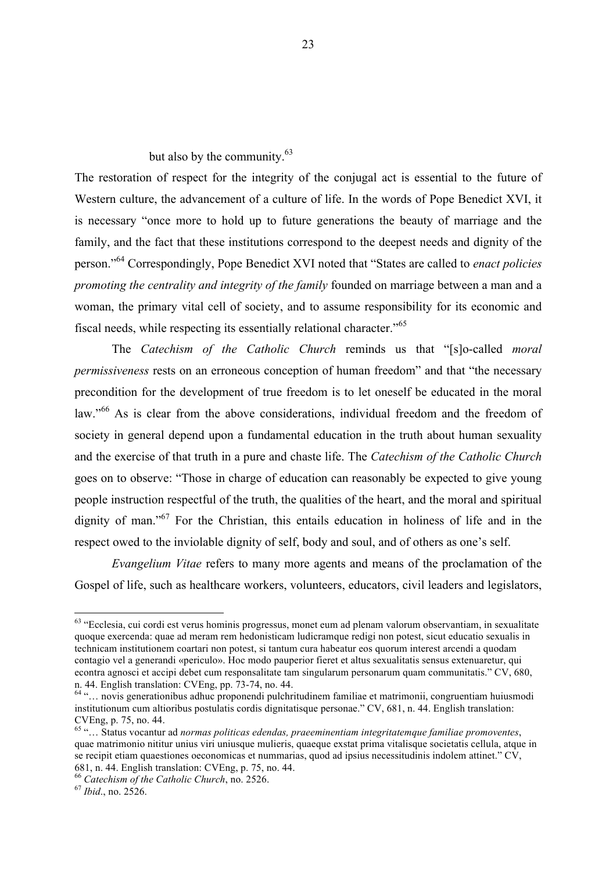but also by the community.<sup>63</sup>

The restoration of respect for the integrity of the conjugal act is essential to the future of Western culture, the advancement of a culture of life. In the words of Pope Benedict XVI, it is necessary "once more to hold up to future generations the beauty of marriage and the family, and the fact that these institutions correspond to the deepest needs and dignity of the person."64 Correspondingly, Pope Benedict XVI noted that "States are called to *enact policies promoting the centrality and integrity of the family* founded on marriage between a man and a woman, the primary vital cell of society, and to assume responsibility for its economic and fiscal needs, while respecting its essentially relational character."<sup>65</sup>

The *Catechism of the Catholic Church* reminds us that "[s]o-called *moral permissiveness* rests on an erroneous conception of human freedom" and that "the necessary precondition for the development of true freedom is to let oneself be educated in the moral law."<sup>66</sup> As is clear from the above considerations, individual freedom and the freedom of society in general depend upon a fundamental education in the truth about human sexuality and the exercise of that truth in a pure and chaste life. The *Catechism of the Catholic Church* goes on to observe: "Those in charge of education can reasonably be expected to give young people instruction respectful of the truth, the qualities of the heart, and the moral and spiritual dignity of man."<sup>67</sup> For the Christian, this entails education in holiness of life and in the respect owed to the inviolable dignity of self, body and soul, and of others as one's self.

*Evangelium Vitae* refers to many more agents and means of the proclamation of the Gospel of life, such as healthcare workers, volunteers, educators, civil leaders and legislators,

 <sup>63</sup> "Ecclesia, cui cordi est verus hominis progressus, monet eum ad plenam valorum observantiam, in sexualitate quoque exercenda: quae ad meram rem hedonisticam ludicramque redigi non potest, sicut educatio sexualis in technicam institutionem coartari non potest, si tantum cura habeatur eos quorum interest arcendi a quodam contagio vel a generandi «periculo». Hoc modo pauperior fieret et altus sexualitatis sensus extenuaretur, qui econtra agnosci et accipi debet cum responsalitate tam singularum personarum quam communitatis." CV, 680, n. 44. English translation: CVEng, pp. 73-74, no. 44.<br><sup>64</sup> "… novis generationibus adhuc proponendi pulchritudinem familiae et matrimonii, congruentiam huiusmodi

institutionum cum altioribus postulatis cordis dignitatisque personae." CV, 681, n. 44. English translation: CVEng, p. 75, no. 44.

<sup>65</sup> "… Status vocantur ad *normas politicas edendas, praeeminentiam integritatemque familiae promoventes*, quae matrimonio nititur unius viri uniusque mulieris, quaeque exstat prima vitalisque societatis cellula, atque in se recipit etiam quaestiones oeconomicas et nummarias, quod ad ipsius necessitudinis indolem attinet." CV, 681, n. 44. English translation: CVEng, p. 75, no. 44.

<sup>66</sup> *Catechism of the Catholic Church*, no. 2526. <sup>67</sup> *Ibid*., no. 2526.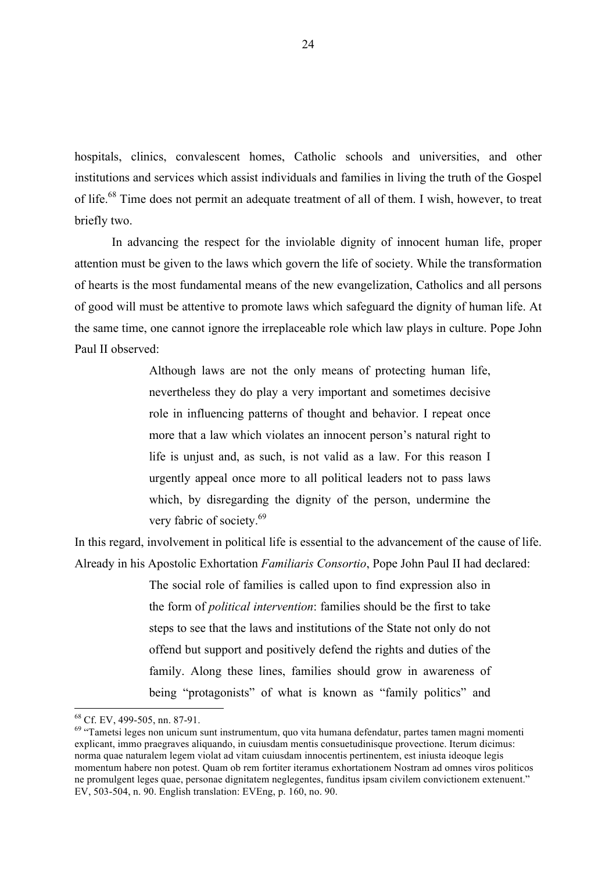hospitals, clinics, convalescent homes, Catholic schools and universities, and other institutions and services which assist individuals and families in living the truth of the Gospel of life.<sup>68</sup> Time does not permit an adequate treatment of all of them. I wish, however, to treat briefly two.

In advancing the respect for the inviolable dignity of innocent human life, proper attention must be given to the laws which govern the life of society. While the transformation of hearts is the most fundamental means of the new evangelization, Catholics and all persons of good will must be attentive to promote laws which safeguard the dignity of human life. At the same time, one cannot ignore the irreplaceable role which law plays in culture. Pope John Paul II observed:

> Although laws are not the only means of protecting human life, nevertheless they do play a very important and sometimes decisive role in influencing patterns of thought and behavior. I repeat once more that a law which violates an innocent person's natural right to life is unjust and, as such, is not valid as a law. For this reason I urgently appeal once more to all political leaders not to pass laws which, by disregarding the dignity of the person, undermine the very fabric of society.<sup>69</sup>

In this regard, involvement in political life is essential to the advancement of the cause of life. Already in his Apostolic Exhortation *Familiaris Consortio*, Pope John Paul II had declared:

> The social role of families is called upon to find expression also in the form of *political intervention*: families should be the first to take steps to see that the laws and institutions of the State not only do not offend but support and positively defend the rights and duties of the family. Along these lines, families should grow in awareness of being "protagonists" of what is known as "family politics" and

 $^{68}$  Cf. EV, 499-505, nn. 87-91.<br> $^{69}$  "Tametsi leges non unicum sunt instrumentum, quo vita humana defendatur, partes tamen magni momenti explicant, immo praegraves aliquando, in cuiusdam mentis consuetudinisque provectione. Iterum dicimus: norma quae naturalem legem violat ad vitam cuiusdam innocentis pertinentem, est iniusta ideoque legis momentum habere non potest. Quam ob rem fortiter iteramus exhortationem Nostram ad omnes viros politicos ne promulgent leges quae, personae dignitatem neglegentes, funditus ipsam civilem convictionem extenuent." EV, 503-504, n. 90. English translation: EVEng, p. 160, no. 90.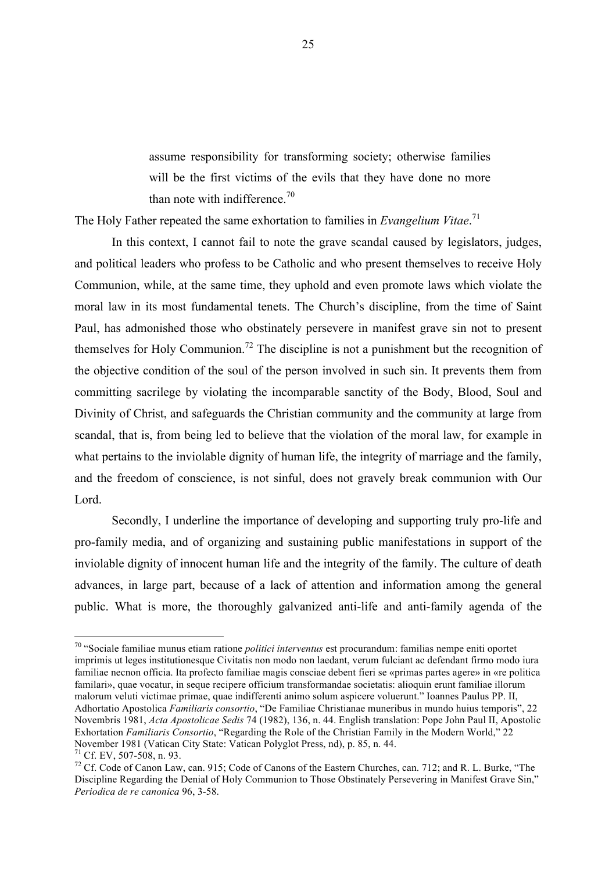assume responsibility for transforming society; otherwise families will be the first victims of the evils that they have done no more than note with indifference.<sup>70</sup>

The Holy Father repeated the same exhortation to families in *Evangelium Vitae*. 71

In this context, I cannot fail to note the grave scandal caused by legislators, judges, and political leaders who profess to be Catholic and who present themselves to receive Holy Communion, while, at the same time, they uphold and even promote laws which violate the moral law in its most fundamental tenets. The Church's discipline, from the time of Saint Paul, has admonished those who obstinately persevere in manifest grave sin not to present themselves for Holy Communion.<sup>72</sup> The discipline is not a punishment but the recognition of the objective condition of the soul of the person involved in such sin. It prevents them from committing sacrilege by violating the incomparable sanctity of the Body, Blood, Soul and Divinity of Christ, and safeguards the Christian community and the community at large from scandal, that is, from being led to believe that the violation of the moral law, for example in what pertains to the inviolable dignity of human life, the integrity of marriage and the family, and the freedom of conscience, is not sinful, does not gravely break communion with Our Lord.

Secondly, I underline the importance of developing and supporting truly pro-life and pro-family media, and of organizing and sustaining public manifestations in support of the inviolable dignity of innocent human life and the integrity of the family. The culture of death advances, in large part, because of a lack of attention and information among the general public. What is more, the thoroughly galvanized anti-life and anti-family agenda of the

 <sup>70</sup> "Sociale familiae munus etiam ratione *politici interventus* est procurandum: familias nempe eniti oportet imprimis ut leges institutionesque Civitatis non modo non laedant, verum fulciant ac defendant firmo modo iura familiae necnon officia. Ita profecto familiae magis consciae debent fieri se «primas partes agere» in «re politica familari», quae vocatur, in seque recipere officium transformandae societatis: alioquin erunt familiae illorum malorum veluti victimae primae, quae indifferenti animo solum aspicere voluerunt." Ioannes Paulus PP. II, Adhortatio Apostolica *Familiaris consortio*, "De Familiae Christianae muneribus in mundo huius temporis", 22 Novembris 1981, *Acta Apostolicae Sedis* 74 (1982), 136, n. 44. English translation: Pope John Paul II, Apostolic Exhortation *Familiaris Consortio*, "Regarding the Role of the Christian Family in the Modern World," 22 November 1981 (Vatican City State: Vatican Polyglot Press, nd), p. 85, n. 44.<br><sup>71</sup> Cf. EV. 507-508, n. 93.

<sup>&</sup>lt;sup>72</sup> Cf. Code of Canon Law, can. 915; Code of Canons of the Eastern Churches, can. 712; and R. L. Burke, "The Discipline Regarding the Denial of Holy Communion to Those Obstinately Persevering in Manifest Grave Sin," *Periodica de re canonica* 96, 3-58.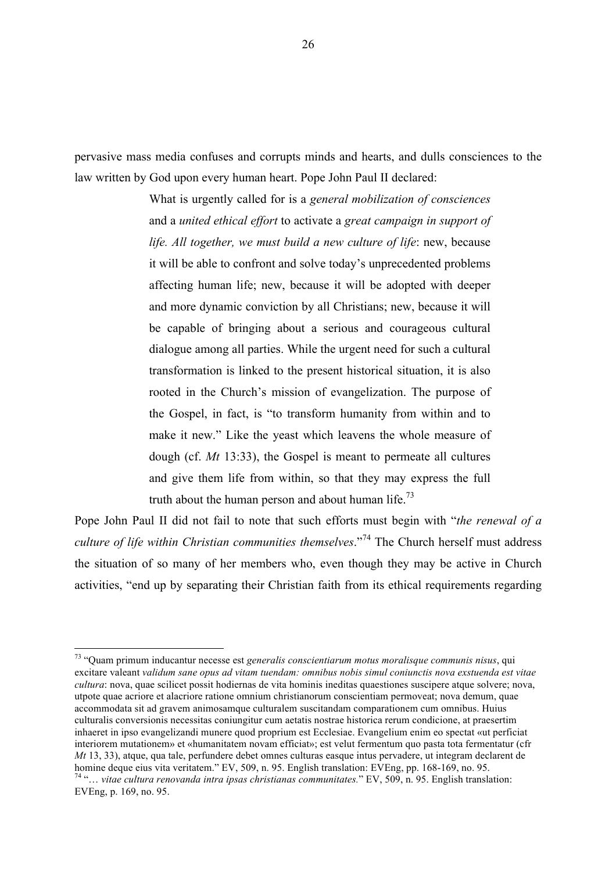pervasive mass media confuses and corrupts minds and hearts, and dulls consciences to the law written by God upon every human heart. Pope John Paul II declared:

> What is urgently called for is a *general mobilization of consciences* and a *united ethical effort* to activate a *great campaign in support of life. All together, we must build a new culture of life*: new, because it will be able to confront and solve today's unprecedented problems affecting human life; new, because it will be adopted with deeper and more dynamic conviction by all Christians; new, because it will be capable of bringing about a serious and courageous cultural dialogue among all parties. While the urgent need for such a cultural transformation is linked to the present historical situation, it is also rooted in the Church's mission of evangelization. The purpose of the Gospel, in fact, is "to transform humanity from within and to make it new." Like the yeast which leavens the whole measure of dough (cf. *Mt* 13:33), the Gospel is meant to permeate all cultures and give them life from within, so that they may express the full truth about the human person and about human life.<sup>73</sup>

Pope John Paul II did not fail to note that such efforts must begin with "*the renewal of a culture of life within Christian communities themselves*."<sup>74</sup> The Church herself must address the situation of so many of her members who, even though they may be active in Church activities, "end up by separating their Christian faith from its ethical requirements regarding

 <sup>73</sup> "Quam primum inducantur necesse est *generalis conscientiarum motus moralisque communis nisus*, qui excitare valeant *validum sane opus ad vitam tuendam: omnibus nobis simul coniunctis nova exstuenda est vitae cultura*: nova, quae scilicet possit hodiernas de vita hominis ineditas quaestiones suscipere atque solvere; nova, utpote quae acriore et alacriore ratione omnium christianorum conscientiam permoveat; nova demum, quae accommodata sit ad gravem animosamque culturalem suscitandam comparationem cum omnibus. Huius culturalis conversionis necessitas coniungitur cum aetatis nostrae historica rerum condicione, at praesertim inhaeret in ipso evangelizandi munere quod proprium est Ecclesiae. Evangelium enim eo spectat «ut perficiat interiorem mutationem» et «humanitatem novam efficiat»; est velut fermentum quo pasta tota fermentatur (cfr *Mt* 13, 33), atque, qua tale, perfundere debet omnes culturas easque intus pervadere, ut integram declarent de homine deque eius vita veritatem." EV, 509, n. 95. English translation: EVEng, pp. 168-169, no. 95. <sup>74</sup>"... vitae cultura renovanda intra ipsas christianas communitates." EV, 509, n. 95. English translation: EVEng, p. 169, no. 95.